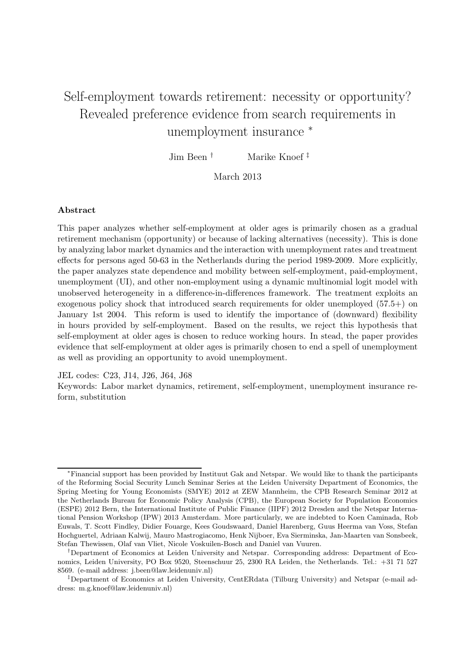# Self-employment towards retirement: necessity or opportunity? Revealed preference evidence from search requirements in unemployment insurance  $*$

Jim Been † Marike Knoef ‡

## March 2013

#### Abstract

This paper analyzes whether self-employment at older ages is primarily chosen as a gradual retirement mechanism (opportunity) or because of lacking alternatives (necessity). This is done by analyzing labor market dynamics and the interaction with unemployment rates and treatment effects for persons aged 50-63 in the Netherlands during the period 1989-2009. More explicitly, the paper analyzes state dependence and mobility between self-employment, paid-employment, unemployment (UI), and other non-employment using a dynamic multinomial logit model with unobserved heterogeneity in a difference-in-differences framework. The treatment exploits an exogenous policy shock that introduced search requirements for older unemployed (57.5+) on January 1st 2004. This reform is used to identify the importance of (downward) flexibility in hours provided by self-employment. Based on the results, we reject this hypothesis that self-employment at older ages is chosen to reduce working hours. In stead, the paper provides evidence that self-employment at older ages is primarily chosen to end a spell of unemployment as well as providing an opportunity to avoid unemployment.

JEL codes: C23, J14, J26, J64, J68

Keywords: Labor market dynamics, retirement, self-employment, unemployment insurance reform, substitution

<sup>∗</sup>Financial support has been provided by Instituut Gak and Netspar. We would like to thank the participants of the Reforming Social Security Lunch Seminar Series at the Leiden University Department of Economics, the Spring Meeting for Young Economists (SMYE) 2012 at ZEW Mannheim, the CPB Research Seminar 2012 at the Netherlands Bureau for Economic Policy Analysis (CPB), the European Society for Population Economics (ESPE) 2012 Bern, the International Institute of Public Finance (IIPF) 2012 Dresden and the Netspar International Pension Workshop (IPW) 2013 Amsterdam. More particularly, we are indebted to Koen Caminada, Rob Euwals, T. Scott Findley, Didier Fouarge, Kees Goudswaard, Daniel Harenberg, Guus Heerma van Voss, Stefan Hochguertel, Adriaan Kalwij, Mauro Mastrogiacomo, Henk Nijboer, Eva Sierminska, Jan-Maarten van Sonsbeek, Stefan Thewissen, Olaf van Vliet, Nicole Voskuilen-Bosch and Daniel van Vuuren.

<sup>†</sup>Department of Economics at Leiden University and Netspar. Corresponding address: Department of Economics, Leiden University, PO Box 9520, Steenschuur 25, 2300 RA Leiden, the Netherlands. Tel.: +31 71 527 8569. (e-mail address: j.been@law.leidenuniv.nl)

<sup>‡</sup>Department of Economics at Leiden University, CentERdata (Tilburg University) and Netspar (e-mail address: m.g.knoef@law.leidenuniv.nl)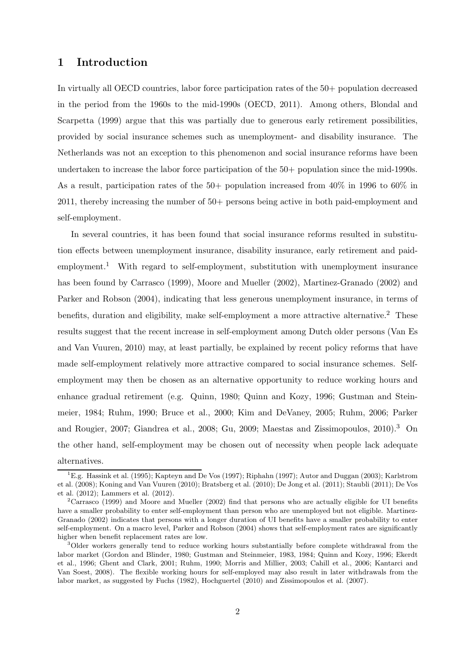# 1 Introduction

In virtually all OECD countries, labor force participation rates of the 50+ population decreased in the period from the 1960s to the mid-1990s (OECD, 2011). Among others, Blondal and Scarpetta (1999) argue that this was partially due to generous early retirement possibilities, provided by social insurance schemes such as unemployment- and disability insurance. The Netherlands was not an exception to this phenomenon and social insurance reforms have been undertaken to increase the labor force participation of the 50+ population since the mid-1990s. As a result, participation rates of the 50+ population increased from 40% in 1996 to 60% in 2011, thereby increasing the number of 50+ persons being active in both paid-employment and self-employment.

In several countries, it has been found that social insurance reforms resulted in substitution effects between unemployment insurance, disability insurance, early retirement and paidemployment.<sup>1</sup> With regard to self-employment, substitution with unemployment insurance has been found by Carrasco (1999), Moore and Mueller (2002), Martinez-Granado (2002) and Parker and Robson (2004), indicating that less generous unemployment insurance, in terms of benefits, duration and eligibility, make self-employment a more attractive alternative.<sup>2</sup> These results suggest that the recent increase in self-employment among Dutch older persons (Van Es and Van Vuuren, 2010) may, at least partially, be explained by recent policy reforms that have made self-employment relatively more attractive compared to social insurance schemes. Selfemployment may then be chosen as an alternative opportunity to reduce working hours and enhance gradual retirement (e.g. Quinn, 1980; Quinn and Kozy, 1996; Gustman and Steinmeier, 1984; Ruhm, 1990; Bruce et al., 2000; Kim and DeVaney, 2005; Ruhm, 2006; Parker and Rougier, 2007; Giandrea et al., 2008; Gu, 2009; Maestas and Zissimopoulos, 2010).<sup>3</sup> On the other hand, self-employment may be chosen out of necessity when people lack adequate alternatives.

<sup>&</sup>lt;sup>1</sup>E.g. Hassink et al. (1995); Kapteyn and De Vos (1997); Riphahn (1997); Autor and Duggan (2003); Karlstrom et al. (2008); Koning and Van Vuuren (2010); Bratsberg et al. (2010); De Jong et al. (2011); Staubli (2011); De Vos et al. (2012); Lammers et al. (2012).

<sup>2</sup>Carrasco (1999) and Moore and Mueller (2002) find that persons who are actually eligible for UI benefits have a smaller probability to enter self-employment than person who are unemployed but not eligible. Martinez-Granado (2002) indicates that persons with a longer duration of UI benefits have a smaller probability to enter self-employment. On a macro level, Parker and Robson (2004) shows that self-employment rates are significantly higher when benefit replacement rates are low.

<sup>&</sup>lt;sup>3</sup>Older workers generally tend to reduce working hours substantially before complete withdrawal from the labor market (Gordon and Blinder, 1980; Gustman and Steinmeier, 1983, 1984; Quinn and Kozy, 1996; Ekerdt et al., 1996; Ghent and Clark, 2001; Ruhm, 1990; Morris and Millier, 2003; Cahill et al., 2006; Kantarci and Van Soest, 2008). The flexible working hours for self-employed may also result in later withdrawals from the labor market, as suggested by Fuchs (1982), Hochguertel (2010) and Zissimopoulos et al. (2007).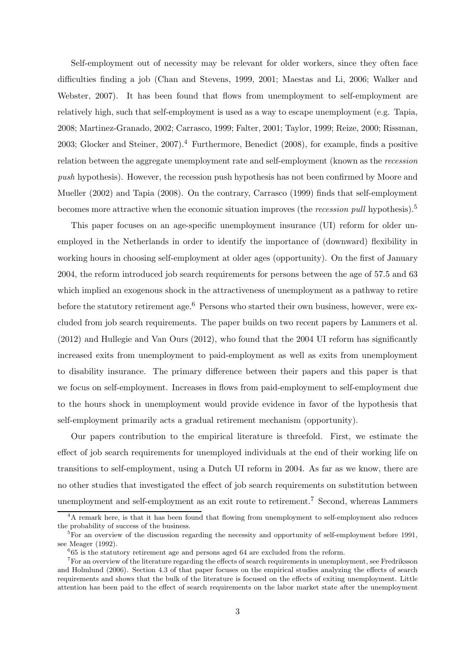Self-employment out of necessity may be relevant for older workers, since they often face difficulties finding a job (Chan and Stevens, 1999, 2001; Maestas and Li, 2006; Walker and Webster, 2007). It has been found that flows from unemployment to self-employment are relatively high, such that self-employment is used as a way to escape unemployment (e.g. Tapia, 2008; Martinez-Granado, 2002; Carrasco, 1999; Falter, 2001; Taylor, 1999; Reize, 2000; Rissman, 2003; Glocker and Steiner, 2007).<sup>4</sup> Furthermore, Benedict (2008), for example, finds a positive relation between the aggregate unemployment rate and self-employment (known as the recession push hypothesis). However, the recession push hypothesis has not been confirmed by Moore and Mueller (2002) and Tapia (2008). On the contrary, Carrasco (1999) finds that self-employment becomes more attractive when the economic situation improves (the *recession pull* hypothesis).<sup>5</sup>

This paper focuses on an age-specific unemployment insurance (UI) reform for older unemployed in the Netherlands in order to identify the importance of (downward) flexibility in working hours in choosing self-employment at older ages (opportunity). On the first of January 2004, the reform introduced job search requirements for persons between the age of 57.5 and 63 which implied an exogenous shock in the attractiveness of unemployment as a pathway to retire before the statutory retirement age.<sup>6</sup> Persons who started their own business, however, were excluded from job search requirements. The paper builds on two recent papers by Lammers et al. (2012) and Hullegie and Van Ours (2012), who found that the 2004 UI reform has significantly increased exits from unemployment to paid-employment as well as exits from unemployment to disability insurance. The primary difference between their papers and this paper is that we focus on self-employment. Increases in flows from paid-employment to self-employment due to the hours shock in unemployment would provide evidence in favor of the hypothesis that self-employment primarily acts a gradual retirement mechanism (opportunity).

Our papers contribution to the empirical literature is threefold. First, we estimate the effect of job search requirements for unemployed individuals at the end of their working life on transitions to self-employment, using a Dutch UI reform in 2004. As far as we know, there are no other studies that investigated the effect of job search requirements on substitution between unemployment and self-employment as an exit route to retirement.<sup>7</sup> Second, whereas Lammers

<sup>&</sup>lt;sup>4</sup>A remark here, is that it has been found that flowing from unemployment to self-employment also reduces the probability of success of the business.

 ${}^{5}$ For an overview of the discussion regarding the necessity and opportunity of self-employment before 1991, see Meager (1992).

 $665$  is the statutory retirement age and persons aged 64 are excluded from the reform.

<sup>&</sup>lt;sup>7</sup>For an overview of the literature regarding the effects of search requirements in unemployment, see Fredriksson and Holmlund (2006). Section 4.3 of that paper focuses on the empirical studies analyzing the effects of search requirements and shows that the bulk of the literature is focused on the effects of exiting unemployment. Little attention has been paid to the effect of search requirements on the labor market state after the unemployment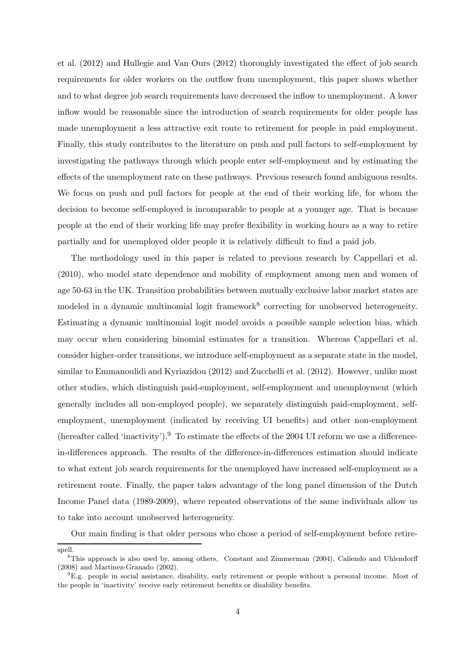et al. (2012) and Hullegie and Van Ours (2012) thoroughly investigated the effect of job search requirements for older workers on the outflow from unemployment, this paper shows whether and to what degree job search requirements have decreased the inflow to unemployment. A lower inflow would be reasonable since the introduction of search requirements for older people has made unemployment a less attractive exit route to retirement for people in paid employment. Finally, this study contributes to the literature on push and pull factors to self-employment by investigating the pathways through which people enter self-employment and by estimating the effects of the unemployment rate on these pathways. Previous research found ambiguous results. We focus on push and pull factors for people at the end of their working life, for whom the decision to become self-employed is incomparable to people at a younger age. That is because people at the end of their working life may prefer flexibility in working hours as a way to retire partially and for unemployed older people it is relatively difficult to find a paid job.

The methodology used in this paper is related to previous research by Cappellari et al. (2010), who model state dependence and mobility of employment among men and women of age 50-63 in the UK. Transition probabilities between mutually exclusive labor market states are modeled in a dynamic multinomial logit framework<sup>8</sup> correcting for unobserved heterogeneity. Estimating a dynamic multinomial logit model avoids a possible sample selection bias, which may occur when considering binomial estimates for a transition. Whereas Cappellari et al. consider higher-order transitions, we introduce self-employment as a separate state in the model, similar to Emmanoulidi and Kyriazidou (2012) and Zucchelli et al. (2012). However, unlike most other studies, which distinguish paid-employment, self-employment and unemployment (which generally includes all non-employed people), we separately distinguish paid-employment, selfemployment, unemployment (indicated by receiving UI benefits) and other non-employment (hereafter called 'inactivity').<sup>9</sup> To estimate the effects of the 2004 UI reform we use a differencein-differences approach. The results of the difference-in-differences estimation should indicate to what extent job search requirements for the unemployed have increased self-employment as a retirement route. Finally, the paper takes advantage of the long panel dimension of the Dutch Income Panel data (1989-2009), where repeated observations of the same individuals allow us to take into account unobserved heterogeneity.

Our main finding is that older persons who chose a period of self-employment before retire-

spell.

<sup>8</sup>This approach is also used by, among others, Constant and Zimmerman (2004), Caliendo and Uhlendorff (2008) and Martinez-Granado (2002).

<sup>9</sup>E.g. people in social assistance, disability, early retirement or people without a personal income. Most of the people in 'inactivity' receive early retirement benefits or disability benefits.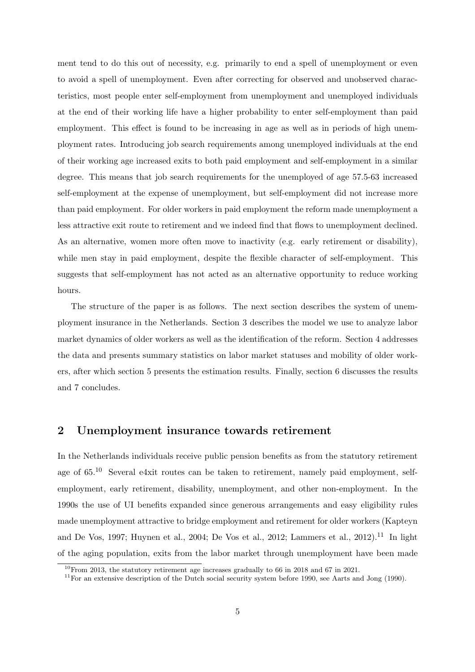ment tend to do this out of necessity, e.g. primarily to end a spell of unemployment or even to avoid a spell of unemployment. Even after correcting for observed and unobserved characteristics, most people enter self-employment from unemployment and unemployed individuals at the end of their working life have a higher probability to enter self-employment than paid employment. This effect is found to be increasing in age as well as in periods of high unemployment rates. Introducing job search requirements among unemployed individuals at the end of their working age increased exits to both paid employment and self-employment in a similar degree. This means that job search requirements for the unemployed of age 57.5-63 increased self-employment at the expense of unemployment, but self-employment did not increase more than paid employment. For older workers in paid employment the reform made unemployment a less attractive exit route to retirement and we indeed find that flows to unemployment declined. As an alternative, women more often move to inactivity (e.g. early retirement or disability), while men stay in paid employment, despite the flexible character of self-employment. This suggests that self-employment has not acted as an alternative opportunity to reduce working hours.

The structure of the paper is as follows. The next section describes the system of unemployment insurance in the Netherlands. Section 3 describes the model we use to analyze labor market dynamics of older workers as well as the identification of the reform. Section 4 addresses the data and presents summary statistics on labor market statuses and mobility of older workers, after which section 5 presents the estimation results. Finally, section 6 discusses the results and 7 concludes.

# 2 Unemployment insurance towards retirement

In the Netherlands individuals receive public pension benefits as from the statutory retirement age of 65.<sup>10</sup> Several e4xit routes can be taken to retirement, namely paid employment, selfemployment, early retirement, disability, unemployment, and other non-employment. In the 1990s the use of UI benefits expanded since generous arrangements and easy eligibility rules made unemployment attractive to bridge employment and retirement for older workers (Kapteyn and De Vos, 1997; Huynen et al., 2004; De Vos et al., 2012; Lammers et al., 2012).<sup>11</sup> In light of the aging population, exits from the labor market through unemployment have been made

 $10$ From 2013, the statutory retirement age increases gradually to 66 in 2018 and 67 in 2021.

 $11$ For an extensive description of the Dutch social security system before 1990, see Aarts and Jong (1990).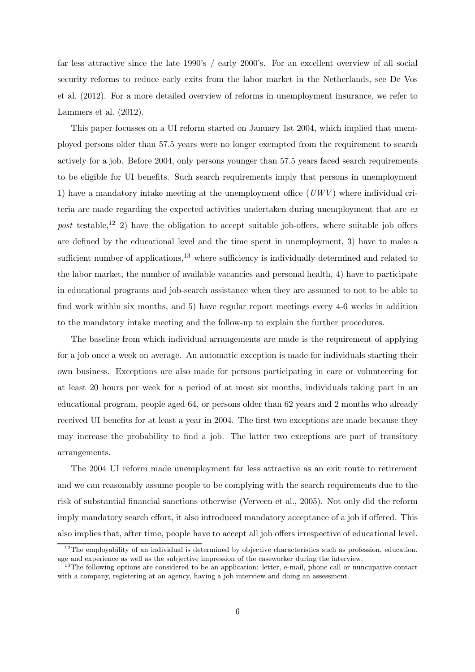far less attractive since the late 1990's / early 2000's. For an excellent overview of all social security reforms to reduce early exits from the labor market in the Netherlands, see De Vos et al. (2012). For a more detailed overview of reforms in unemployment insurance, we refer to Lammers et al. (2012).

This paper focusses on a UI reform started on January 1st 2004, which implied that unemployed persons older than 57.5 years were no longer exempted from the requirement to search actively for a job. Before 2004, only persons younger than 57.5 years faced search requirements to be eligible for UI benefits. Such search requirements imply that persons in unemployment 1) have a mandatory intake meeting at the unemployment office  $(UWV)$  where individual criteria are made regarding the expected activities undertaken during unemployment that are ex post testable,<sup>12</sup> 2) have the obligation to accept suitable job-offers, where suitable job offers are defined by the educational level and the time spent in unemployment, 3) have to make a sufficient number of applications, $13$  where sufficiency is individually determined and related to the labor market, the number of available vacancies and personal health, 4) have to participate in educational programs and job-search assistance when they are assumed to not to be able to find work within six months, and 5) have regular report meetings every 4-6 weeks in addition to the mandatory intake meeting and the follow-up to explain the further procedures.

The baseline from which individual arrangements are made is the requirement of applying for a job once a week on average. An automatic exception is made for individuals starting their own business. Exceptions are also made for persons participating in care or volunteering for at least 20 hours per week for a period of at most six months, individuals taking part in an educational program, people aged 64, or persons older than 62 years and 2 months who already received UI benefits for at least a year in 2004. The first two exceptions are made because they may increase the probability to find a job. The latter two exceptions are part of transitory arrangements.

The 2004 UI reform made unemployment far less attractive as an exit route to retirement and we can reasonably assume people to be complying with the search requirements due to the risk of substantial financial sanctions otherwise (Verveen et al., 2005). Not only did the reform imply mandatory search effort, it also introduced mandatory acceptance of a job if offered. This also implies that, after time, people have to accept all job offers irrespective of educational level.

<sup>&</sup>lt;sup>12</sup>The employability of an individual is determined by objective characteristics such as profession, education, age and experience as well as the subjective impression of the caseworker during the interview.

<sup>&</sup>lt;sup>13</sup>The following options are considered to be an application: letter, e-mail, phone call or nuncupative contact with a company, registering at an agency, having a job interview and doing an assessment.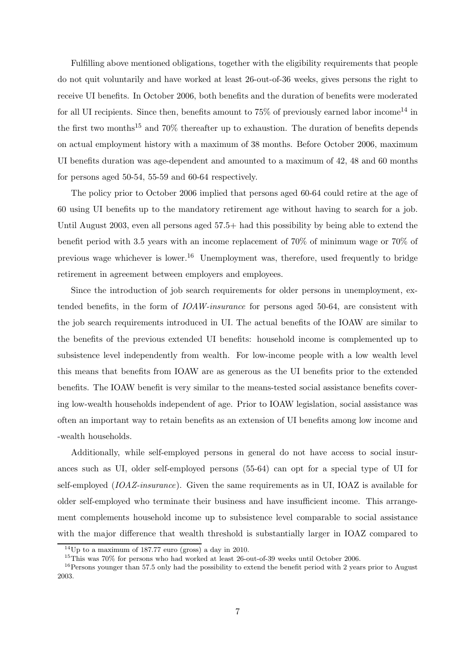Fulfilling above mentioned obligations, together with the eligibility requirements that people do not quit voluntarily and have worked at least 26-out-of-36 weeks, gives persons the right to receive UI benefits. In October 2006, both benefits and the duration of benefits were moderated for all UI recipients. Since then, benefits amount to  $75\%$  of previously earned labor income<sup>14</sup> in the first two months<sup>15</sup> and  $70\%$  thereafter up to exhaustion. The duration of benefits depends on actual employment history with a maximum of 38 months. Before October 2006, maximum UI benefits duration was age-dependent and amounted to a maximum of 42, 48 and 60 months for persons aged 50-54, 55-59 and 60-64 respectively.

The policy prior to October 2006 implied that persons aged 60-64 could retire at the age of 60 using UI benefits up to the mandatory retirement age without having to search for a job. Until August 2003, even all persons aged 57.5+ had this possibility by being able to extend the benefit period with 3.5 years with an income replacement of 70% of minimum wage or 70% of previous wage whichever is lower.<sup>16</sup> Unemployment was, therefore, used frequently to bridge retirement in agreement between employers and employees.

Since the introduction of job search requirements for older persons in unemployment, extended benefits, in the form of IOAW-insurance for persons aged 50-64, are consistent with the job search requirements introduced in UI. The actual benefits of the IOAW are similar to the benefits of the previous extended UI benefits: household income is complemented up to subsistence level independently from wealth. For low-income people with a low wealth level this means that benefits from IOAW are as generous as the UI benefits prior to the extended benefits. The IOAW benefit is very similar to the means-tested social assistance benefits covering low-wealth households independent of age. Prior to IOAW legislation, social assistance was often an important way to retain benefits as an extension of UI benefits among low income and -wealth households.

Additionally, while self-employed persons in general do not have access to social insurances such as UI, older self-employed persons (55-64) can opt for a special type of UI for self-employed (IOAZ-insurance). Given the same requirements as in UI, IOAZ is available for older self-employed who terminate their business and have insufficient income. This arrangement complements household income up to subsistence level comparable to social assistance with the major difference that wealth threshold is substantially larger in IOAZ compared to

 $14$ Up to a maximum of 187.77 euro (gross) a day in 2010.

<sup>15</sup>This was 70% for persons who had worked at least 26-out-of-39 weeks until October 2006.

<sup>&</sup>lt;sup>16</sup>Persons younger than 57.5 only had the possibility to extend the benefit period with 2 years prior to August 2003.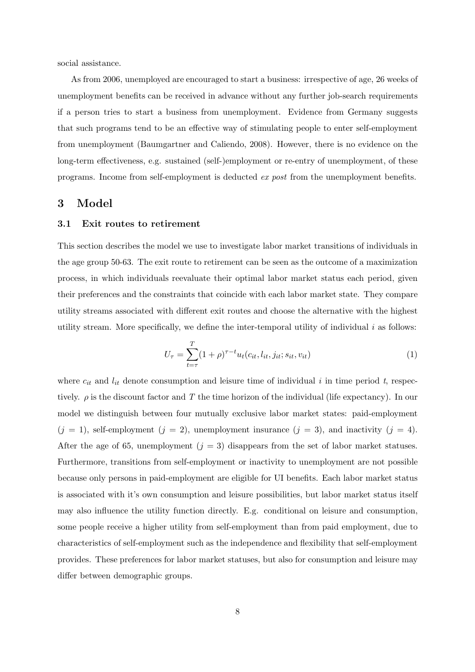social assistance.

As from 2006, unemployed are encouraged to start a business: irrespective of age, 26 weeks of unemployment benefits can be received in advance without any further job-search requirements if a person tries to start a business from unemployment. Evidence from Germany suggests that such programs tend to be an effective way of stimulating people to enter self-employment from unemployment (Baumgartner and Caliendo, 2008). However, there is no evidence on the long-term effectiveness, e.g. sustained (self-)employment or re-entry of unemployment, of these programs. Income from self-employment is deducted ex post from the unemployment benefits.

# 3 Model

#### 3.1 Exit routes to retirement

This section describes the model we use to investigate labor market transitions of individuals in the age group 50-63. The exit route to retirement can be seen as the outcome of a maximization process, in which individuals reevaluate their optimal labor market status each period, given their preferences and the constraints that coincide with each labor market state. They compare utility streams associated with different exit routes and choose the alternative with the highest utility stream. More specifically, we define the inter-temporal utility of individual  $i$  as follows:

$$
U_{\tau} = \sum_{t=\tau}^{T} (1+\rho)^{\tau-t} u_t(c_{it}, l_{it}, j_{it}; s_{it}, v_{it})
$$
\n(1)

where  $c_{it}$  and  $l_{it}$  denote consumption and leisure time of individual i in time period t, respectively.  $\rho$  is the discount factor and T the time horizon of the individual (life expectancy). In our model we distinguish between four mutually exclusive labor market states: paid-employment  $(j = 1)$ , self-employment  $(j = 2)$ , unemployment insurance  $(j = 3)$ , and inactivity  $(j = 4)$ . After the age of 65, unemployment  $(j = 3)$  disappears from the set of labor market statuses. Furthermore, transitions from self-employment or inactivity to unemployment are not possible because only persons in paid-employment are eligible for UI benefits. Each labor market status is associated with it's own consumption and leisure possibilities, but labor market status itself may also influence the utility function directly. E.g. conditional on leisure and consumption, some people receive a higher utility from self-employment than from paid employment, due to characteristics of self-employment such as the independence and flexibility that self-employment provides. These preferences for labor market statuses, but also for consumption and leisure may differ between demographic groups.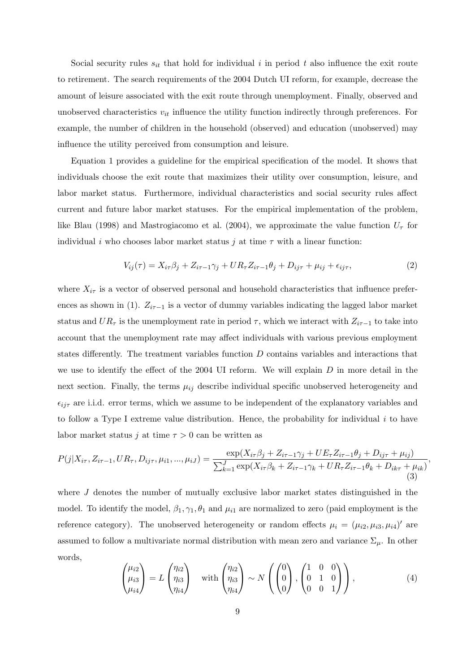Social security rules  $s_{it}$  that hold for individual i in period t also influence the exit route to retirement. The search requirements of the 2004 Dutch UI reform, for example, decrease the amount of leisure associated with the exit route through unemployment. Finally, observed and unobserved characteristics  $v_{it}$  influence the utility function indirectly through preferences. For example, the number of children in the household (observed) and education (unobserved) may influence the utility perceived from consumption and leisure.

Equation 1 provides a guideline for the empirical specification of the model. It shows that individuals choose the exit route that maximizes their utility over consumption, leisure, and labor market status. Furthermore, individual characteristics and social security rules affect current and future labor market statuses. For the empirical implementation of the problem, like Blau (1998) and Mastrogiacomo et al. (2004), we approximate the value function  $U_{\tau}$  for individual  $i$  who chooses labor market status  $j$  at time  $\tau$  with a linear function:

$$
V_{ij}(\tau) = X_{i\tau}\beta_j + Z_{i\tau-1}\gamma_j + UR_{\tau}Z_{i\tau-1}\theta_j + D_{ij\tau} + \mu_{ij} + \epsilon_{ij\tau},\tag{2}
$$

where  $X_{i\tau}$  is a vector of observed personal and household characteristics that influence preferences as shown in (1).  $Z_{i\tau-1}$  is a vector of dummy variables indicating the lagged labor market status and  $UR_{\tau}$  is the unemployment rate in period  $\tau$ , which we interact with  $Z_{i\tau-1}$  to take into account that the unemployment rate may affect individuals with various previous employment states differently. The treatment variables function D contains variables and interactions that we use to identify the effect of the 2004 UI reform. We will explain  $D$  in more detail in the next section. Finally, the terms  $\mu_{ij}$  describe individual specific unobserved heterogeneity and  $\epsilon_{ij\tau}$  are i.i.d. error terms, which we assume to be independent of the explanatory variables and to follow a Type I extreme value distribution. Hence, the probability for individual  $i$  to have labor market status  $j$  at time  $\tau > 0$  can be written as

$$
P(j|X_{i\tau}, Z_{i\tau-1}, UR_{\tau}, D_{ij\tau}, \mu_{i1}, ..., \mu_{iJ}) = \frac{\exp(X_{i\tau}\beta_j + Z_{i\tau-1}\gamma_j + UE_{\tau}Z_{i\tau-1}\theta_j + D_{ij\tau} + \mu_{ij})}{\sum_{k=1}^{J} \exp(X_{i\tau}\beta_k + Z_{i\tau-1}\gamma_k + UR_{\tau}Z_{i\tau-1}\theta_k + D_{ik\tau} + \mu_{ik})}
$$
(3)

where J denotes the number of mutually exclusive labor market states distinguished in the model. To identify the model,  $\beta_1, \gamma_1, \theta_1$  and  $\mu_{i1}$  are normalized to zero (paid employment is the reference category). The unobserved heterogeneity or random effects  $\mu_i = (\mu_{i2}, \mu_{i3}, \mu_{i4})'$  are assumed to follow a multivariate normal distribution with mean zero and variance  $\Sigma_{\mu}$ . In other words,

$$
\begin{pmatrix} \mu_{i2} \\ \mu_{i3} \\ \mu_{i4} \end{pmatrix} = L \begin{pmatrix} \eta_{i2} \\ \eta_{i3} \\ \eta_{i4} \end{pmatrix} \quad \text{with} \begin{pmatrix} \eta_{i2} \\ \eta_{i3} \\ \eta_{i4} \end{pmatrix} \sim N \left( \begin{pmatrix} 0 \\ 0 \\ 0 \end{pmatrix}, \begin{pmatrix} 1 & 0 & 0 \\ 0 & 1 & 0 \\ 0 & 0 & 1 \end{pmatrix} \right), \tag{4}
$$

,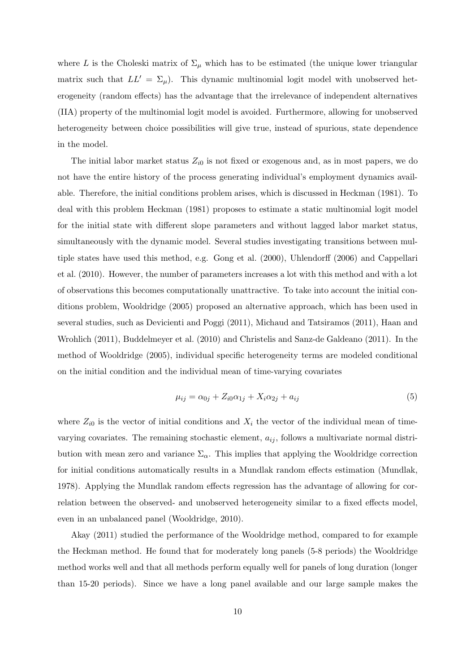where L is the Choleski matrix of  $\Sigma_{\mu}$  which has to be estimated (the unique lower triangular matrix such that  $LL' = \Sigma_{\mu}$ . This dynamic multinomial logit model with unobserved heterogeneity (random effects) has the advantage that the irrelevance of independent alternatives (IIA) property of the multinomial logit model is avoided. Furthermore, allowing for unobserved heterogeneity between choice possibilities will give true, instead of spurious, state dependence in the model.

The initial labor market status  $Z_{i0}$  is not fixed or exogenous and, as in most papers, we do not have the entire history of the process generating individual's employment dynamics available. Therefore, the initial conditions problem arises, which is discussed in Heckman (1981). To deal with this problem Heckman (1981) proposes to estimate a static multinomial logit model for the initial state with different slope parameters and without lagged labor market status, simultaneously with the dynamic model. Several studies investigating transitions between multiple states have used this method, e.g. Gong et al. (2000), Uhlendorff (2006) and Cappellari et al. (2010). However, the number of parameters increases a lot with this method and with a lot of observations this becomes computationally unattractive. To take into account the initial conditions problem, Wooldridge (2005) proposed an alternative approach, which has been used in several studies, such as Devicienti and Poggi (2011), Michaud and Tatsiramos (2011), Haan and Wrohlich (2011), Buddelmeyer et al. (2010) and Christelis and Sanz-de Galdeano (2011). In the method of Wooldridge (2005), individual specific heterogeneity terms are modeled conditional on the initial condition and the individual mean of time-varying covariates

$$
\mu_{ij} = \alpha_{0j} + Z_{i0}\alpha_{1j} + X_i\alpha_{2j} + a_{ij}
$$
\n(5)

where  $Z_{i0}$  is the vector of initial conditions and  $X_i$  the vector of the individual mean of timevarying covariates. The remaining stochastic element,  $a_{ij}$ , follows a multivariate normal distribution with mean zero and variance  $\Sigma_{\alpha}$ . This implies that applying the Wooldridge correction for initial conditions automatically results in a Mundlak random effects estimation (Mundlak, 1978). Applying the Mundlak random effects regression has the advantage of allowing for correlation between the observed- and unobserved heterogeneity similar to a fixed effects model, even in an unbalanced panel (Wooldridge, 2010).

Akay (2011) studied the performance of the Wooldridge method, compared to for example the Heckman method. He found that for moderately long panels (5-8 periods) the Wooldridge method works well and that all methods perform equally well for panels of long duration (longer than 15-20 periods). Since we have a long panel available and our large sample makes the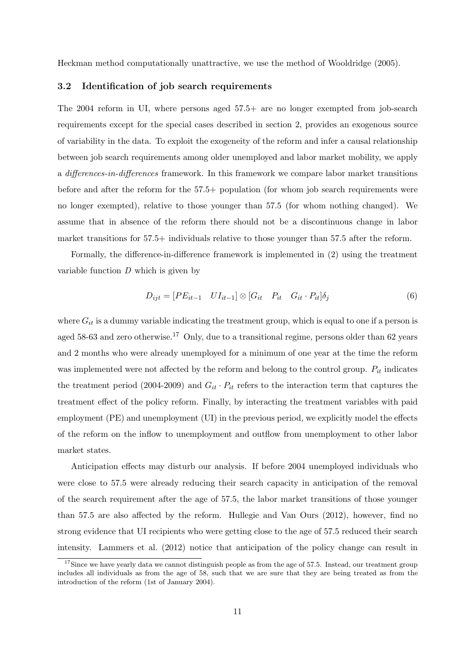Heckman method computationally unattractive, we use the method of Wooldridge (2005).

#### 3.2 Identification of job search requirements

The 2004 reform in UI, where persons aged 57.5+ are no longer exempted from job-search requirements except for the special cases described in section 2, provides an exogenous source of variability in the data. To exploit the exogeneity of the reform and infer a causal relationship between job search requirements among older unemployed and labor market mobility, we apply a differences-in-differences framework. In this framework we compare labor market transitions before and after the reform for the 57.5+ population (for whom job search requirements were no longer exempted), relative to those younger than 57.5 (for whom nothing changed). We assume that in absence of the reform there should not be a discontinuous change in labor market transitions for 57.5+ individuals relative to those younger than 57.5 after the reform.

Formally, the difference-in-difference framework is implemented in (2) using the treatment variable function  $D$  which is given by

$$
D_{ijt} = [PE_{it-1} \quad UI_{it-1}] \otimes [G_{it} \quad P_{it} \quad G_{it} \cdot P_{it}] \delta_j \tag{6}
$$

where  $G_{it}$  is a dummy variable indicating the treatment group, which is equal to one if a person is aged 58-63 and zero otherwise.<sup>17</sup> Only, due to a transitional regime, persons older than 62 years and 2 months who were already unemployed for a minimum of one year at the time the reform was implemented were not affected by the reform and belong to the control group.  $P_{it}$  indicates the treatment period (2004-2009) and  $G_{it} \cdot P_{it}$  refers to the interaction term that captures the treatment effect of the policy reform. Finally, by interacting the treatment variables with paid employment (PE) and unemployment (UI) in the previous period, we explicitly model the effects of the reform on the inflow to unemployment and outflow from unemployment to other labor market states.

Anticipation effects may disturb our analysis. If before 2004 unemployed individuals who were close to 57.5 were already reducing their search capacity in anticipation of the removal of the search requirement after the age of 57.5, the labor market transitions of those younger than 57.5 are also affected by the reform. Hullegie and Van Ours (2012), however, find no strong evidence that UI recipients who were getting close to the age of 57.5 reduced their search intensity. Lammers et al. (2012) notice that anticipation of the policy change can result in

<sup>&</sup>lt;sup>17</sup>Since we have yearly data we cannot distinguish people as from the age of 57.5. Instead, our treatment group includes all individuals as from the age of 58, such that we are sure that they are being treated as from the introduction of the reform (1st of January 2004).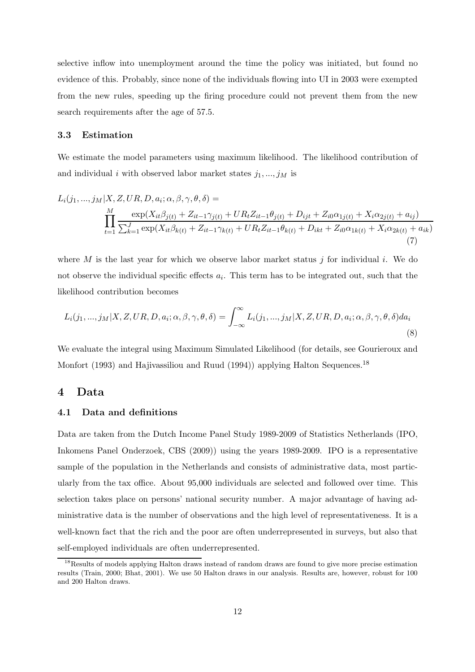selective inflow into unemployment around the time the policy was initiated, but found no evidence of this. Probably, since none of the individuals flowing into UI in 2003 were exempted from the new rules, speeding up the firing procedure could not prevent them from the new search requirements after the age of 57.5.

## 3.3 Estimation

We estimate the model parameters using maximum likelihood. The likelihood contribution of and individual i with observed labor market states  $j_1, ..., j_M$  is

$$
L_i(j_1, ..., j_M | X, Z, UR, D, a_i; \alpha, \beta, \gamma, \theta, \delta) =
$$
  

$$
\prod_{t=1}^M \frac{\exp(X_{it}\beta_{j(t)} + Z_{it-1}\gamma_{j(t)} + UR_tZ_{it-1}\theta_{j(t)} + D_{ijt} + Z_{i0}\alpha_{1j(t)} + X_i\alpha_{2j(t)} + a_{ij})}{\sum_{k=1}^J \exp(X_{it}\beta_{k(t)} + Z_{it-1}\gamma_{k(t)} + UR_tZ_{it-1}\theta_{k(t)} + D_{ikt} + Z_{i0}\alpha_{1k(t)} + X_i\alpha_{2k(t)} + a_{ik})}
$$
\n(7)

where M is the last year for which we observe labor market status j for individual i. We do not observe the individual specific effects  $a_i$ . This term has to be integrated out, such that the likelihood contribution becomes

$$
L_i(j_1, ..., j_M|X, Z, UR, D, a_i; \alpha, \beta, \gamma, \theta, \delta) = \int_{-\infty}^{\infty} L_i(j_1, ..., j_M|X, Z, UR, D, a_i; \alpha, \beta, \gamma, \theta, \delta) da_i
$$
\n(8)

We evaluate the integral using Maximum Simulated Likelihood (for details, see Gourieroux and Monfort (1993) and Hajivassiliou and Ruud (1994)) applying Halton Sequences.<sup>18</sup>

## 4 Data

### 4.1 Data and definitions

Data are taken from the Dutch Income Panel Study 1989-2009 of Statistics Netherlands (IPO, Inkomens Panel Onderzoek, CBS (2009)) using the years 1989-2009. IPO is a representative sample of the population in the Netherlands and consists of administrative data, most particularly from the tax office. About 95,000 individuals are selected and followed over time. This selection takes place on persons' national security number. A major advantage of having administrative data is the number of observations and the high level of representativeness. It is a well-known fact that the rich and the poor are often underrepresented in surveys, but also that self-employed individuals are often underrepresented.

<sup>&</sup>lt;sup>18</sup>Results of models applying Halton draws instead of random draws are found to give more precise estimation results (Train, 2000; Bhat, 2001). We use 50 Halton draws in our analysis. Results are, however, robust for 100 and 200 Halton draws.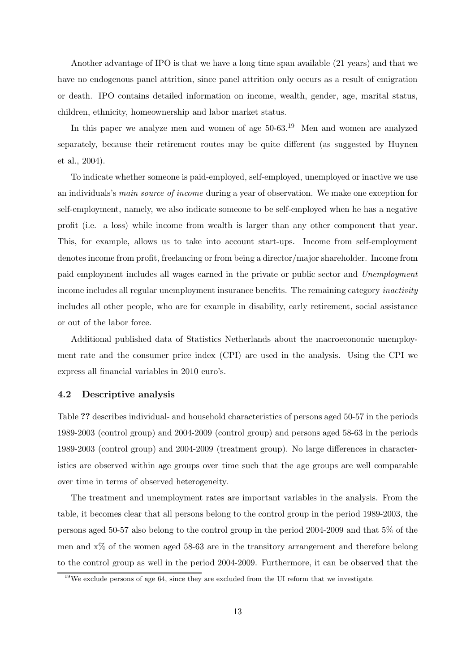Another advantage of IPO is that we have a long time span available (21 years) and that we have no endogenous panel attrition, since panel attrition only occurs as a result of emigration or death. IPO contains detailed information on income, wealth, gender, age, marital status, children, ethnicity, homeownership and labor market status.

In this paper we analyze men and women of age 50-63.<sup>19</sup> Men and women are analyzed separately, because their retirement routes may be quite different (as suggested by Huynen et al., 2004).

To indicate whether someone is paid-employed, self-employed, unemployed or inactive we use an individuals's main source of income during a year of observation. We make one exception for self-employment, namely, we also indicate someone to be self-employed when he has a negative profit (i.e. a loss) while income from wealth is larger than any other component that year. This, for example, allows us to take into account start-ups. Income from self-employment denotes income from profit, freelancing or from being a director/major shareholder. Income from paid employment includes all wages earned in the private or public sector and Unemployment income includes all regular unemployment insurance benefits. The remaining category *inactivity* includes all other people, who are for example in disability, early retirement, social assistance or out of the labor force.

Additional published data of Statistics Netherlands about the macroeconomic unemployment rate and the consumer price index (CPI) are used in the analysis. Using the CPI we express all financial variables in 2010 euro's.

#### 4.2 Descriptive analysis

Table ?? describes individual- and household characteristics of persons aged 50-57 in the periods 1989-2003 (control group) and 2004-2009 (control group) and persons aged 58-63 in the periods 1989-2003 (control group) and 2004-2009 (treatment group). No large differences in characteristics are observed within age groups over time such that the age groups are well comparable over time in terms of observed heterogeneity.

The treatment and unemployment rates are important variables in the analysis. From the table, it becomes clear that all persons belong to the control group in the period 1989-2003, the persons aged 50-57 also belong to the control group in the period 2004-2009 and that 5% of the men and x% of the women aged 58-63 are in the transitory arrangement and therefore belong to the control group as well in the period 2004-2009. Furthermore, it can be observed that the

<sup>&</sup>lt;sup>19</sup>We exclude persons of age 64, since they are excluded from the UI reform that we investigate.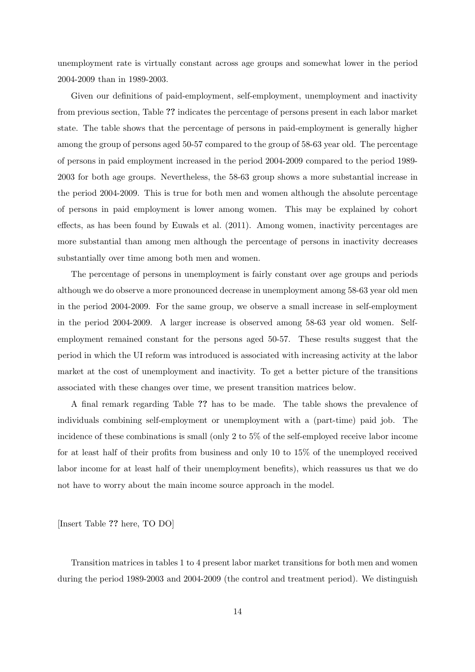unemployment rate is virtually constant across age groups and somewhat lower in the period 2004-2009 than in 1989-2003.

Given our definitions of paid-employment, self-employment, unemployment and inactivity from previous section, Table ?? indicates the percentage of persons present in each labor market state. The table shows that the percentage of persons in paid-employment is generally higher among the group of persons aged 50-57 compared to the group of 58-63 year old. The percentage of persons in paid employment increased in the period 2004-2009 compared to the period 1989- 2003 for both age groups. Nevertheless, the 58-63 group shows a more substantial increase in the period 2004-2009. This is true for both men and women although the absolute percentage of persons in paid employment is lower among women. This may be explained by cohort effects, as has been found by Euwals et al. (2011). Among women, inactivity percentages are more substantial than among men although the percentage of persons in inactivity decreases substantially over time among both men and women.

The percentage of persons in unemployment is fairly constant over age groups and periods although we do observe a more pronounced decrease in unemployment among 58-63 year old men in the period 2004-2009. For the same group, we observe a small increase in self-employment in the period 2004-2009. A larger increase is observed among 58-63 year old women. Selfemployment remained constant for the persons aged 50-57. These results suggest that the period in which the UI reform was introduced is associated with increasing activity at the labor market at the cost of unemployment and inactivity. To get a better picture of the transitions associated with these changes over time, we present transition matrices below.

A final remark regarding Table ?? has to be made. The table shows the prevalence of individuals combining self-employment or unemployment with a (part-time) paid job. The incidence of these combinations is small (only 2 to 5% of the self-employed receive labor income for at least half of their profits from business and only 10 to 15% of the unemployed received labor income for at least half of their unemployment benefits), which reassures us that we do not have to worry about the main income source approach in the model.

[Insert Table ?? here, TO DO]

Transition matrices in tables 1 to 4 present labor market transitions for both men and women during the period 1989-2003 and 2004-2009 (the control and treatment period). We distinguish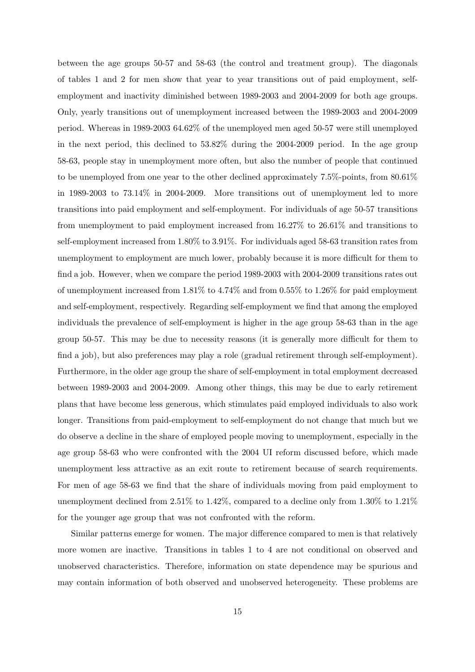between the age groups 50-57 and 58-63 (the control and treatment group). The diagonals of tables 1 and 2 for men show that year to year transitions out of paid employment, selfemployment and inactivity diminished between 1989-2003 and 2004-2009 for both age groups. Only, yearly transitions out of unemployment increased between the 1989-2003 and 2004-2009 period. Whereas in 1989-2003 64.62% of the unemployed men aged 50-57 were still unemployed in the next period, this declined to 53.82% during the 2004-2009 period. In the age group 58-63, people stay in unemployment more often, but also the number of people that continued to be unemployed from one year to the other declined approximately 7.5%-points, from 80.61% in 1989-2003 to 73.14% in 2004-2009. More transitions out of unemployment led to more transitions into paid employment and self-employment. For individuals of age 50-57 transitions from unemployment to paid employment increased from 16.27% to 26.61% and transitions to self-employment increased from 1.80% to 3.91%. For individuals aged 58-63 transition rates from unemployment to employment are much lower, probably because it is more difficult for them to find a job. However, when we compare the period 1989-2003 with 2004-2009 transitions rates out of unemployment increased from 1.81% to 4.74% and from 0.55% to 1.26% for paid employment and self-employment, respectively. Regarding self-employment we find that among the employed individuals the prevalence of self-employment is higher in the age group 58-63 than in the age group 50-57. This may be due to necessity reasons (it is generally more difficult for them to find a job), but also preferences may play a role (gradual retirement through self-employment). Furthermore, in the older age group the share of self-employment in total employment decreased between 1989-2003 and 2004-2009. Among other things, this may be due to early retirement plans that have become less generous, which stimulates paid employed individuals to also work longer. Transitions from paid-employment to self-employment do not change that much but we do observe a decline in the share of employed people moving to unemployment, especially in the age group 58-63 who were confronted with the 2004 UI reform discussed before, which made unemployment less attractive as an exit route to retirement because of search requirements. For men of age 58-63 we find that the share of individuals moving from paid employment to unemployment declined from 2.51% to 1.42%, compared to a decline only from 1.30% to 1.21% for the younger age group that was not confronted with the reform.

Similar patterns emerge for women. The major difference compared to men is that relatively more women are inactive. Transitions in tables 1 to 4 are not conditional on observed and unobserved characteristics. Therefore, information on state dependence may be spurious and may contain information of both observed and unobserved heterogeneity. These problems are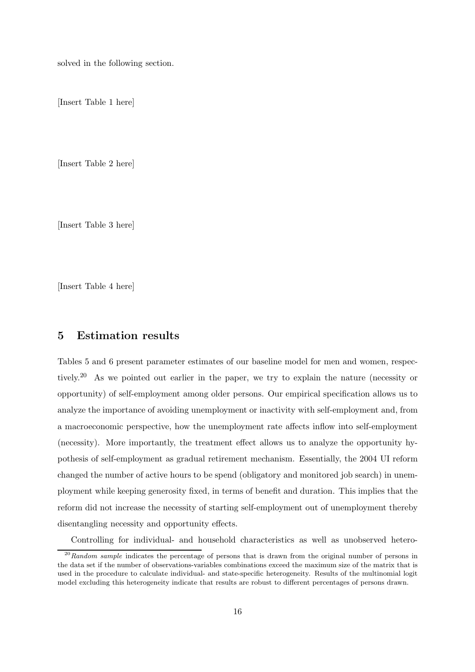solved in the following section.

[Insert Table 1 here]

[Insert Table 2 here]

[Insert Table 3 here]

[Insert Table 4 here]

# 5 Estimation results

Tables 5 and 6 present parameter estimates of our baseline model for men and women, respectively.<sup>20</sup> As we pointed out earlier in the paper, we try to explain the nature (necessity or opportunity) of self-employment among older persons. Our empirical specification allows us to analyze the importance of avoiding unemployment or inactivity with self-employment and, from a macroeconomic perspective, how the unemployment rate affects inflow into self-employment (necessity). More importantly, the treatment effect allows us to analyze the opportunity hypothesis of self-employment as gradual retirement mechanism. Essentially, the 2004 UI reform changed the number of active hours to be spend (obligatory and monitored job search) in unemployment while keeping generosity fixed, in terms of benefit and duration. This implies that the reform did not increase the necessity of starting self-employment out of unemployment thereby disentangling necessity and opportunity effects.

Controlling for individual- and household characteristics as well as unobserved hetero-

 $^{20}$ Random sample indicates the percentage of persons that is drawn from the original number of persons in the data set if the number of observations-variables combinations exceed the maximum size of the matrix that is used in the procedure to calculate individual- and state-specific heterogeneity. Results of the multinomial logit model excluding this heterogeneity indicate that results are robust to different percentages of persons drawn.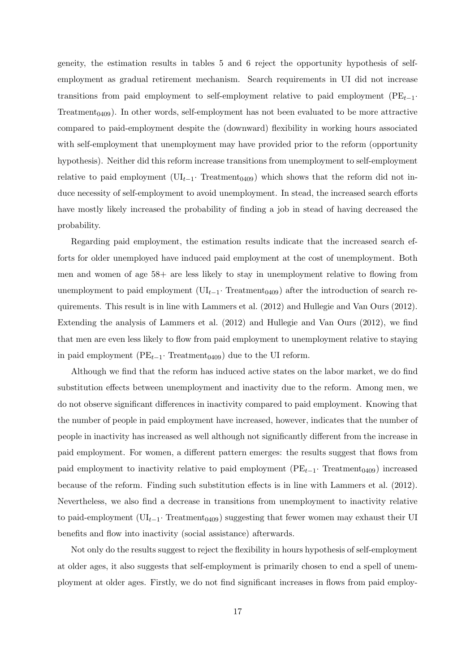geneity, the estimation results in tables 5 and 6 reject the opportunity hypothesis of selfemployment as gradual retirement mechanism. Search requirements in UI did not increase transitions from paid employment to self-employment relative to paid employment ( $PE_{t-1}$ · Treatment<sub>0409</sub>). In other words, self-employment has not been evaluated to be more attractive compared to paid-employment despite the (downward) flexibility in working hours associated with self-employment that unemployment may have provided prior to the reform (opportunity hypothesis). Neither did this reform increase transitions from unemployment to self-employment relative to paid employment  $(\text{UI}_{t-1} \cdot \text{ Treatment}_{0409})$  which shows that the reform did not induce necessity of self-employment to avoid unemployment. In stead, the increased search efforts have mostly likely increased the probability of finding a job in stead of having decreased the probability.

Regarding paid employment, the estimation results indicate that the increased search efforts for older unemployed have induced paid employment at the cost of unemployment. Both men and women of age 58+ are less likely to stay in unemployment relative to flowing from unemployment to paid employment  $(UI_{t-1} \cdot Treatment_{0409})$  after the introduction of search requirements. This result is in line with Lammers et al. (2012) and Hullegie and Van Ours (2012). Extending the analysis of Lammers et al. (2012) and Hullegie and Van Ours (2012), we find that men are even less likely to flow from paid employment to unemployment relative to staying in paid employment ( $PE_{t-1}$ · Treatment<sub>0409</sub>) due to the UI reform.

Although we find that the reform has induced active states on the labor market, we do find substitution effects between unemployment and inactivity due to the reform. Among men, we do not observe significant differences in inactivity compared to paid employment. Knowing that the number of people in paid employment have increased, however, indicates that the number of people in inactivity has increased as well although not significantly different from the increase in paid employment. For women, a different pattern emerges: the results suggest that flows from paid employment to inactivity relative to paid employment ( $PE<sub>t-1</sub>$ · Treatment<sub>0409</sub>) increased because of the reform. Finding such substitution effects is in line with Lammers et al. (2012). Nevertheless, we also find a decrease in transitions from unemployment to inactivity relative to paid-employment ( $UI_{t-1}$ · Treatment<sub>0409</sub>) suggesting that fewer women may exhaust their UI benefits and flow into inactivity (social assistance) afterwards.

Not only do the results suggest to reject the flexibility in hours hypothesis of self-employment at older ages, it also suggests that self-employment is primarily chosen to end a spell of unemployment at older ages. Firstly, we do not find significant increases in flows from paid employ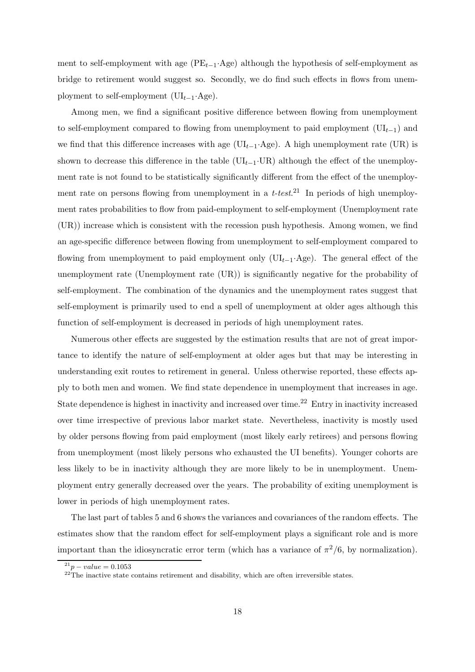ment to self-employment with age  $(PE_{t-1}.Age)$  although the hypothesis of self-employment as bridge to retirement would suggest so. Secondly, we do find such effects in flows from unemployment to self-employment ( $UI_{t-1}.Age$ ).

Among men, we find a significant positive difference between flowing from unemployment to self-employment compared to flowing from unemployment to paid employment ( $UI_{t-1}$ ) and we find that this difference increases with age ( $\text{UL}_{t-1}$ ·Age). A high unemployment rate (UR) is shown to decrease this difference in the table ( $UI_{t-1}\cdot UR$ ) although the effect of the unemployment rate is not found to be statistically significantly different from the effect of the unemployment rate on persons flowing from unemployment in a  $t-test<sup>21</sup>$  In periods of high unemployment rates probabilities to flow from paid-employment to self-employment (Unemployment rate (UR)) increase which is consistent with the recession push hypothesis. Among women, we find an age-specific difference between flowing from unemployment to self-employment compared to flowing from unemployment to paid employment only  $(\mathrm{UI}_{t-1} \cdot \mathrm{Age})$ . The general effect of the unemployment rate (Unemployment rate (UR)) is significantly negative for the probability of self-employment. The combination of the dynamics and the unemployment rates suggest that self-employment is primarily used to end a spell of unemployment at older ages although this function of self-employment is decreased in periods of high unemployment rates.

Numerous other effects are suggested by the estimation results that are not of great importance to identify the nature of self-employment at older ages but that may be interesting in understanding exit routes to retirement in general. Unless otherwise reported, these effects apply to both men and women. We find state dependence in unemployment that increases in age. State dependence is highest in inactivity and increased over time.<sup>22</sup> Entry in inactivity increased over time irrespective of previous labor market state. Nevertheless, inactivity is mostly used by older persons flowing from paid employment (most likely early retirees) and persons flowing from unemployment (most likely persons who exhausted the UI benefits). Younger cohorts are less likely to be in inactivity although they are more likely to be in unemployment. Unemployment entry generally decreased over the years. The probability of exiting unemployment is lower in periods of high unemployment rates.

The last part of tables 5 and 6 shows the variances and covariances of the random effects. The estimates show that the random effect for self-employment plays a significant role and is more important than the idiosyncratic error term (which has a variance of  $\pi^2/6$ , by normalization).

 $^{21}p - value = 0.1053$ 

 $22^{22}$ The inactive state contains retirement and disability, which are often irreversible states.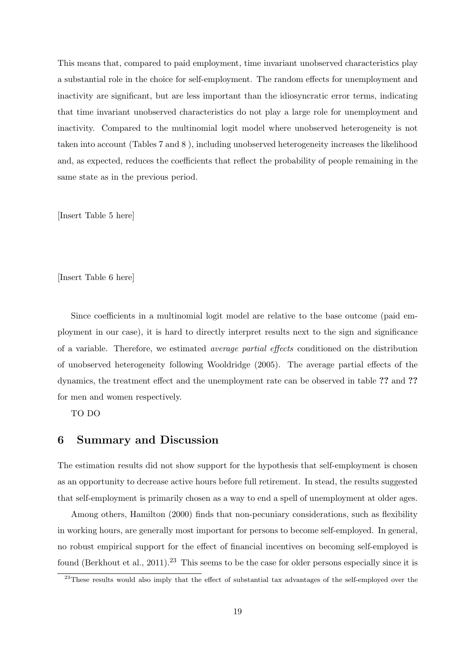This means that, compared to paid employment, time invariant unobserved characteristics play a substantial role in the choice for self-employment. The random effects for unemployment and inactivity are significant, but are less important than the idiosyncratic error terms, indicating that time invariant unobserved characteristics do not play a large role for unemployment and inactivity. Compared to the multinomial logit model where unobserved heterogeneity is not taken into account (Tables 7 and 8 ), including unobserved heterogeneity increases the likelihood and, as expected, reduces the coefficients that reflect the probability of people remaining in the same state as in the previous period.

[Insert Table 5 here]

[Insert Table 6 here]

Since coefficients in a multinomial logit model are relative to the base outcome (paid employment in our case), it is hard to directly interpret results next to the sign and significance of a variable. Therefore, we estimated average partial effects conditioned on the distribution of unobserved heterogeneity following Wooldridge (2005). The average partial effects of the dynamics, the treatment effect and the unemployment rate can be observed in table ?? and ?? for men and women respectively.

TO DO

## 6 Summary and Discussion

The estimation results did not show support for the hypothesis that self-employment is chosen as an opportunity to decrease active hours before full retirement. In stead, the results suggested that self-employment is primarily chosen as a way to end a spell of unemployment at older ages.

Among others, Hamilton (2000) finds that non-pecuniary considerations, such as flexibility in working hours, are generally most important for persons to become self-employed. In general, no robust empirical support for the effect of financial incentives on becoming self-employed is found (Berkhout et al., 2011).<sup>23</sup> This seems to be the case for older persons especially since it is

<sup>&</sup>lt;sup>23</sup>These results would also imply that the effect of substantial tax advantages of the self-employed over the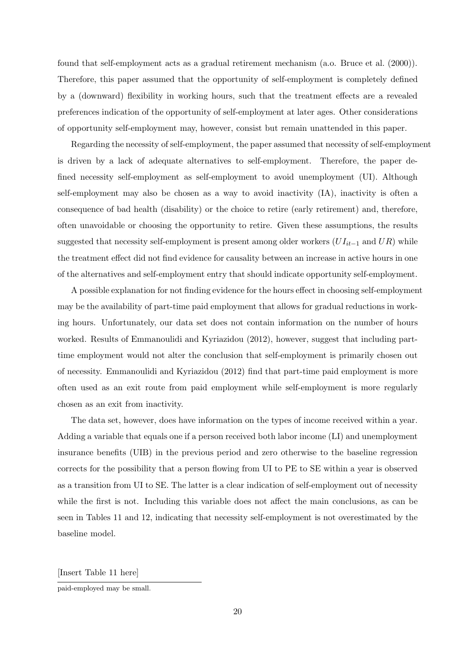found that self-employment acts as a gradual retirement mechanism (a.o. Bruce et al. (2000)). Therefore, this paper assumed that the opportunity of self-employment is completely defined by a (downward) flexibility in working hours, such that the treatment effects are a revealed preferences indication of the opportunity of self-employment at later ages. Other considerations of opportunity self-employment may, however, consist but remain unattended in this paper.

Regarding the necessity of self-employment, the paper assumed that necessity of self-employment is driven by a lack of adequate alternatives to self-employment. Therefore, the paper defined necessity self-employment as self-employment to avoid unemployment (UI). Although self-employment may also be chosen as a way to avoid inactivity (IA), inactivity is often a consequence of bad health (disability) or the choice to retire (early retirement) and, therefore, often unavoidable or choosing the opportunity to retire. Given these assumptions, the results suggested that necessity self-employment is present among older workers  $(U I_{it-1}$  and  $UR)$  while the treatment effect did not find evidence for causality between an increase in active hours in one of the alternatives and self-employment entry that should indicate opportunity self-employment.

A possible explanation for not finding evidence for the hours effect in choosing self-employment may be the availability of part-time paid employment that allows for gradual reductions in working hours. Unfortunately, our data set does not contain information on the number of hours worked. Results of Emmanoulidi and Kyriazidou (2012), however, suggest that including parttime employment would not alter the conclusion that self-employment is primarily chosen out of necessity. Emmanoulidi and Kyriazidou (2012) find that part-time paid employment is more often used as an exit route from paid employment while self-employment is more regularly chosen as an exit from inactivity.

The data set, however, does have information on the types of income received within a year. Adding a variable that equals one if a person received both labor income (LI) and unemployment insurance benefits (UIB) in the previous period and zero otherwise to the baseline regression corrects for the possibility that a person flowing from UI to PE to SE within a year is observed as a transition from UI to SE. The latter is a clear indication of self-employment out of necessity while the first is not. Including this variable does not affect the main conclusions, as can be seen in Tables 11 and 12, indicating that necessity self-employment is not overestimated by the baseline model.

[Insert Table 11 here]

paid-employed may be small.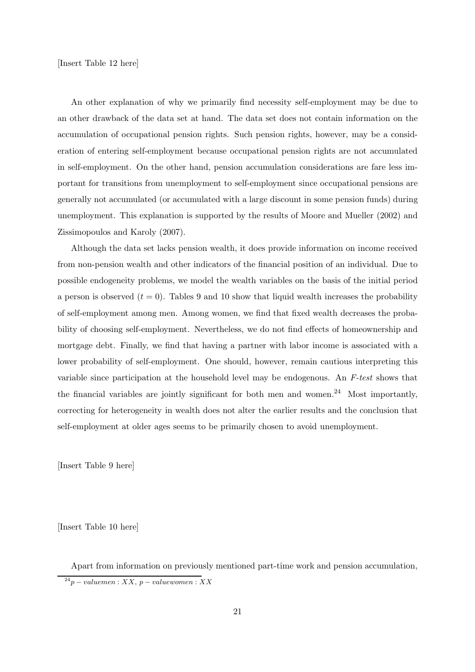An other explanation of why we primarily find necessity self-employment may be due to an other drawback of the data set at hand. The data set does not contain information on the accumulation of occupational pension rights. Such pension rights, however, may be a consideration of entering self-employment because occupational pension rights are not accumulated in self-employment. On the other hand, pension accumulation considerations are fare less important for transitions from unemployment to self-employment since occupational pensions are generally not accumulated (or accumulated with a large discount in some pension funds) during unemployment. This explanation is supported by the results of Moore and Mueller (2002) and Zissimopoulos and Karoly (2007).

Although the data set lacks pension wealth, it does provide information on income received from non-pension wealth and other indicators of the financial position of an individual. Due to possible endogeneity problems, we model the wealth variables on the basis of the initial period a person is observed  $(t = 0)$ . Tables 9 and 10 show that liquid wealth increases the probability of self-employment among men. Among women, we find that fixed wealth decreases the probability of choosing self-employment. Nevertheless, we do not find effects of homeownership and mortgage debt. Finally, we find that having a partner with labor income is associated with a lower probability of self-employment. One should, however, remain cautious interpreting this variable since participation at the household level may be endogenous. An F-test shows that the financial variables are jointly significant for both men and women.<sup>24</sup> Most importantly, correcting for heterogeneity in wealth does not alter the earlier results and the conclusion that self-employment at older ages seems to be primarily chosen to avoid unemployment.

[Insert Table 9 here]

[Insert Table 10 here]

Apart from information on previously mentioned part-time work and pension accumulation,  $24p - valuemen : XX, p-valuewomen : XX$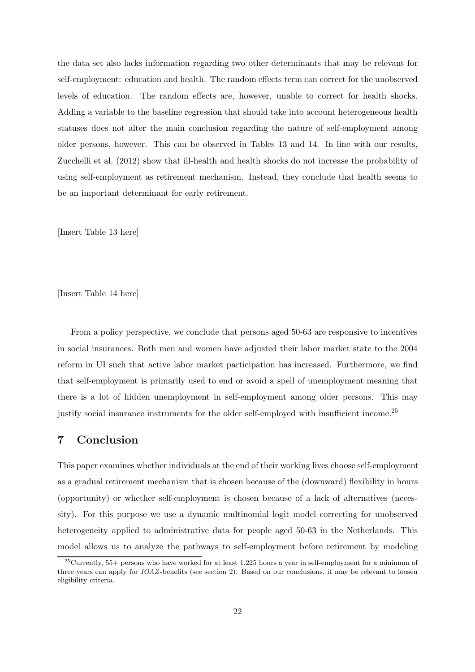the data set also lacks information regarding two other determinants that may be relevant for self-employment: education and health. The random effects term can correct for the unobserved levels of education. The random effects are, however, unable to correct for health shocks. Adding a variable to the baseline regression that should take into account heterogeneous health statuses does not alter the main conclusion regarding the nature of self-employment among older persons, however. This can be observed in Tables 13 and 14. In line with our results, Zucchelli et al. (2012) show that ill-health and health shocks do not increase the probability of using self-employment as retirement mechanism. Instead, they conclude that health seems to be an important determinant for early retirement.

[Insert Table 13 here]

[Insert Table 14 here]

From a policy perspective, we conclude that persons aged 50-63 are responsive to incentives in social insurances. Both men and women have adjusted their labor market state to the 2004 reform in UI such that active labor market participation has increased. Furthermore, we find that self-employment is primarily used to end or avoid a spell of unemployment meaning that there is a lot of hidden unemployment in self-employment among older persons. This may justify social insurance instruments for the older self-employed with insufficient income.<sup>25</sup>

## 7 Conclusion

This paper examines whether individuals at the end of their working lives choose self-employment as a gradual retirement mechanism that is chosen because of the (downward) flexibility in hours (opportunity) or whether self-employment is chosen because of a lack of alternatives (necessity). For this purpose we use a dynamic multinomial logit model correcting for unobserved heterogeneity applied to administrative data for people aged 50-63 in the Netherlands. This model allows us to analyze the pathways to self-employment before retirement by modeling

 $25$ Currently,  $55+$  persons who have worked for at least 1,225 hours a year in self-employment for a minimum of three years can apply for IOAZ-benefits (see section 2). Based on our conclusions, it may be relevant to loosen eligibility criteria.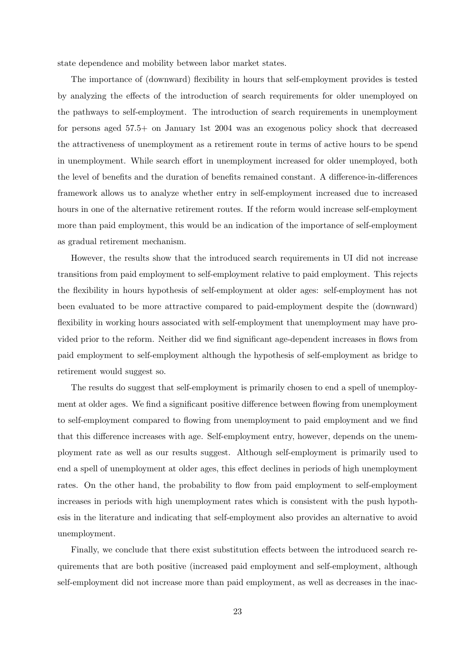state dependence and mobility between labor market states.

The importance of (downward) flexibility in hours that self-employment provides is tested by analyzing the effects of the introduction of search requirements for older unemployed on the pathways to self-employment. The introduction of search requirements in unemployment for persons aged 57.5+ on January 1st 2004 was an exogenous policy shock that decreased the attractiveness of unemployment as a retirement route in terms of active hours to be spend in unemployment. While search effort in unemployment increased for older unemployed, both the level of benefits and the duration of benefits remained constant. A difference-in-differences framework allows us to analyze whether entry in self-employment increased due to increased hours in one of the alternative retirement routes. If the reform would increase self-employment more than paid employment, this would be an indication of the importance of self-employment as gradual retirement mechanism.

However, the results show that the introduced search requirements in UI did not increase transitions from paid employment to self-employment relative to paid employment. This rejects the flexibility in hours hypothesis of self-employment at older ages: self-employment has not been evaluated to be more attractive compared to paid-employment despite the (downward) flexibility in working hours associated with self-employment that unemployment may have provided prior to the reform. Neither did we find significant age-dependent increases in flows from paid employment to self-employment although the hypothesis of self-employment as bridge to retirement would suggest so.

The results do suggest that self-employment is primarily chosen to end a spell of unemployment at older ages. We find a significant positive difference between flowing from unemployment to self-employment compared to flowing from unemployment to paid employment and we find that this difference increases with age. Self-employment entry, however, depends on the unemployment rate as well as our results suggest. Although self-employment is primarily used to end a spell of unemployment at older ages, this effect declines in periods of high unemployment rates. On the other hand, the probability to flow from paid employment to self-employment increases in periods with high unemployment rates which is consistent with the push hypothesis in the literature and indicating that self-employment also provides an alternative to avoid unemployment.

Finally, we conclude that there exist substitution effects between the introduced search requirements that are both positive (increased paid employment and self-employment, although self-employment did not increase more than paid employment, as well as decreases in the inac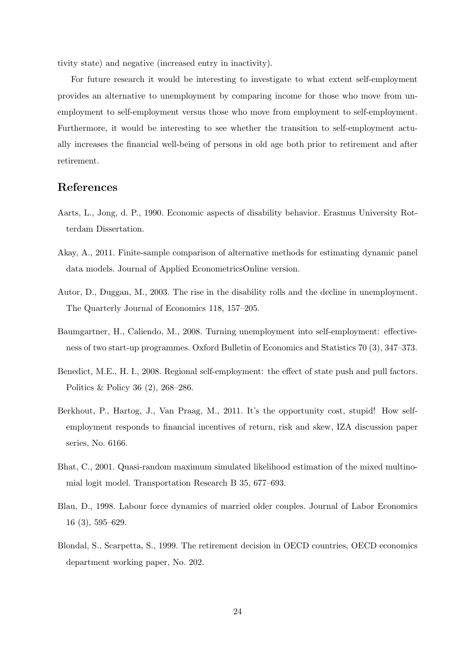tivity state) and negative (increased entry in inactivity).

For future research it would be interesting to investigate to what extent self-employment provides an alternative to unemployment by comparing income for those who move from unemployment to self-employment versus those who move from employment to self-employment. Furthermore, it would be interesting to see whether the transition to self-employment actually increases the financial well-being of persons in old age both prior to retirement and after retirement.

# References

- Aarts, L., Jong, d. P., 1990. Economic aspects of disability behavior. Erasmus University Rotterdam Dissertation.
- Akay, A., 2011. Finite-sample comparison of alternative methods for estimating dynamic panel data models. Journal of Applied EconometricsOnline version.
- Autor, D., Duggan, M., 2003. The rise in the disability rolls and the decline in unemployment. The Quarterly Journal of Economics 118, 157–205.
- Baumgartner, H., Caliendo, M., 2008. Turning unemployment into self-employment: effectiveness of two start-up programmes. Oxford Bulletin of Economics and Statistics 70 (3), 347–373.
- Benedict, M.E., H. I., 2008. Regional self-employment: the effect of state push and pull factors. Politics & Policy 36 (2), 268–286.
- Berkhout, P., Hartog, J., Van Praag, M., 2011. It's the opportunity cost, stupid! How selfemployment responds to financial incentives of return, risk and skew, IZA discussion paper series, No. 6166.
- Bhat, C., 2001. Quasi-random maximum simulated likelihood estimation of the mixed multinomial logit model. Transportation Research B 35, 677–693.
- Blau, D., 1998. Labour force dynamics of married older couples. Journal of Labor Economics 16 (3), 595–629.
- Blondal, S., Scarpetta, S., 1999. The retirement decision in OECD countries, OECD economics department working paper, No. 202.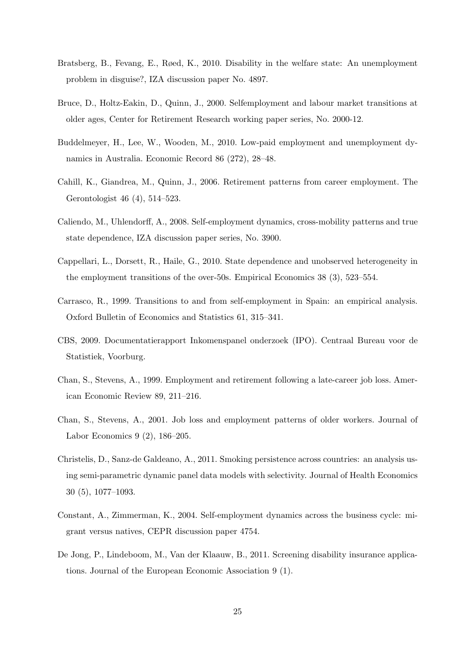- Bratsberg, B., Fevang, E., Røed, K., 2010. Disability in the welfare state: An unemployment problem in disguise?, IZA discussion paper No. 4897.
- Bruce, D., Holtz-Eakin, D., Quinn, J., 2000. Selfemployment and labour market transitions at older ages, Center for Retirement Research working paper series, No. 2000-12.
- Buddelmeyer, H., Lee, W., Wooden, M., 2010. Low-paid employment and unemployment dynamics in Australia. Economic Record 86 (272), 28–48.
- Cahill, K., Giandrea, M., Quinn, J., 2006. Retirement patterns from career employment. The Gerontologist 46 (4), 514–523.
- Caliendo, M., Uhlendorff, A., 2008. Self-employment dynamics, cross-mobility patterns and true state dependence, IZA discussion paper series, No. 3900.
- Cappellari, L., Dorsett, R., Haile, G., 2010. State dependence and unobserved heterogeneity in the employment transitions of the over-50s. Empirical Economics 38 (3), 523–554.
- Carrasco, R., 1999. Transitions to and from self-employment in Spain: an empirical analysis. Oxford Bulletin of Economics and Statistics 61, 315–341.
- CBS, 2009. Documentatierapport Inkomenspanel onderzoek (IPO). Centraal Bureau voor de Statistiek, Voorburg.
- Chan, S., Stevens, A., 1999. Employment and retirement following a late-career job loss. American Economic Review 89, 211–216.
- Chan, S., Stevens, A., 2001. Job loss and employment patterns of older workers. Journal of Labor Economics 9 (2), 186–205.
- Christelis, D., Sanz-de Galdeano, A., 2011. Smoking persistence across countries: an analysis using semi-parametric dynamic panel data models with selectivity. Journal of Health Economics 30 (5), 1077–1093.
- Constant, A., Zimmerman, K., 2004. Self-employment dynamics across the business cycle: migrant versus natives, CEPR discussion paper 4754.
- De Jong, P., Lindeboom, M., Van der Klaauw, B., 2011. Screening disability insurance applications. Journal of the European Economic Association 9 (1).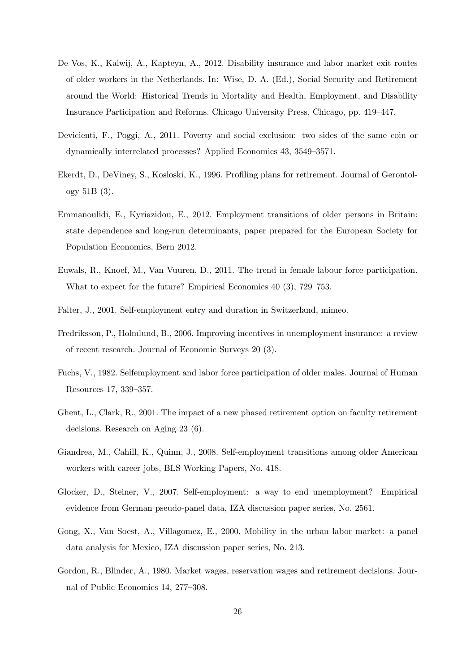- De Vos, K., Kalwij, A., Kapteyn, A., 2012. Disability insurance and labor market exit routes of older workers in the Netherlands. In: Wise, D. A. (Ed.), Social Security and Retirement around the World: Historical Trends in Mortality and Health, Employment, and Disability Insurance Participation and Reforms. Chicago University Press, Chicago, pp. 419–447.
- Devicienti, F., Poggi, A., 2011. Poverty and social exclusion: two sides of the same coin or dynamically interrelated processes? Applied Economics 43, 3549–3571.
- Ekerdt, D., DeViney, S., Kosloski, K., 1996. Profiling plans for retirement. Journal of Gerontology 51B (3).
- Emmanoulidi, E., Kyriazidou, E., 2012. Employment transitions of older persons in Britain: state dependence and long-run determinants, paper prepared for the European Society for Population Economics, Bern 2012.
- Euwals, R., Knoef, M., Van Vuuren, D., 2011. The trend in female labour force participation. What to expect for the future? Empirical Economics 40 (3), 729–753.
- Falter, J., 2001. Self-employment entry and duration in Switzerland, mimeo.
- Fredriksson, P., Holmlund, B., 2006. Improving incentives in unemployment insurance: a review of recent research. Journal of Economic Surveys 20 (3).
- Fuchs, V., 1982. Selfemployment and labor force participation of older males. Journal of Human Resources 17, 339–357.
- Ghent, L., Clark, R., 2001. The impact of a new phased retirement option on faculty retirement decisions. Research on Aging 23 (6).
- Giandrea, M., Cahill, K., Quinn, J., 2008. Self-employment transitions among older American workers with career jobs, BLS Working Papers, No. 418.
- Glocker, D., Steiner, V., 2007. Self-employment: a way to end unemployment? Empirical evidence from German pseudo-panel data, IZA discussion paper series, No. 2561.
- Gong, X., Van Soest, A., Villagomez, E., 2000. Mobility in the urban labor market: a panel data analysis for Mexico, IZA discussion paper series, No. 213.
- Gordon, R., Blinder, A., 1980. Market wages, reservation wages and retirement decisions. Journal of Public Economics 14, 277–308.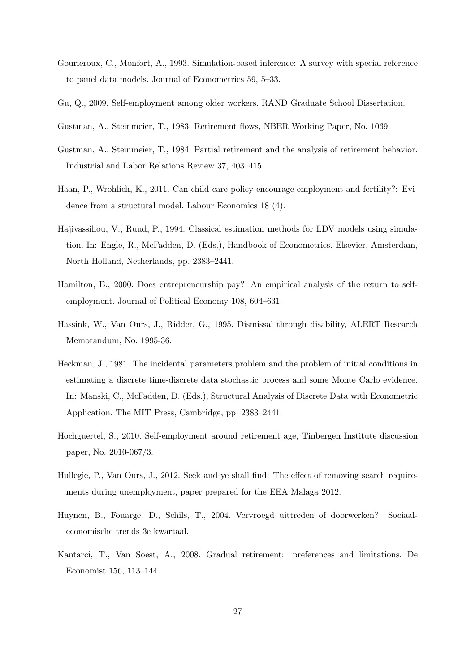- Gourieroux, C., Monfort, A., 1993. Simulation-based inference: A survey with special reference to panel data models. Journal of Econometrics 59, 5–33.
- Gu, Q., 2009. Self-employment among older workers. RAND Graduate School Dissertation.
- Gustman, A., Steinmeier, T., 1983. Retirement flows, NBER Working Paper, No. 1069.
- Gustman, A., Steinmeier, T., 1984. Partial retirement and the analysis of retirement behavior. Industrial and Labor Relations Review 37, 403–415.
- Haan, P., Wrohlich, K., 2011. Can child care policy encourage employment and fertility?: Evidence from a structural model. Labour Economics 18 (4).
- Hajivassiliou, V., Ruud, P., 1994. Classical estimation methods for LDV models using simulation. In: Engle, R., McFadden, D. (Eds.), Handbook of Econometrics. Elsevier, Amsterdam, North Holland, Netherlands, pp. 2383–2441.
- Hamilton, B., 2000. Does entrepreneurship pay? An empirical analysis of the return to selfemployment. Journal of Political Economy 108, 604–631.
- Hassink, W., Van Ours, J., Ridder, G., 1995. Dismissal through disability, ALERT Research Memorandum, No. 1995-36.
- Heckman, J., 1981. The incidental parameters problem and the problem of initial conditions in estimating a discrete time-discrete data stochastic process and some Monte Carlo evidence. In: Manski, C., McFadden, D. (Eds.), Structural Analysis of Discrete Data with Econometric Application. The MIT Press, Cambridge, pp. 2383–2441.
- Hochguertel, S., 2010. Self-employment around retirement age, Tinbergen Institute discussion paper, No. 2010-067/3.
- Hullegie, P., Van Ours, J., 2012. Seek and ye shall find: The effect of removing search requirements during unemployment, paper prepared for the EEA Malaga 2012.
- Huynen, B., Fouarge, D., Schils, T., 2004. Vervroegd uittreden of doorwerken? Sociaaleconomische trends 3e kwartaal.
- Kantarci, T., Van Soest, A., 2008. Gradual retirement: preferences and limitations. De Economist 156, 113–144.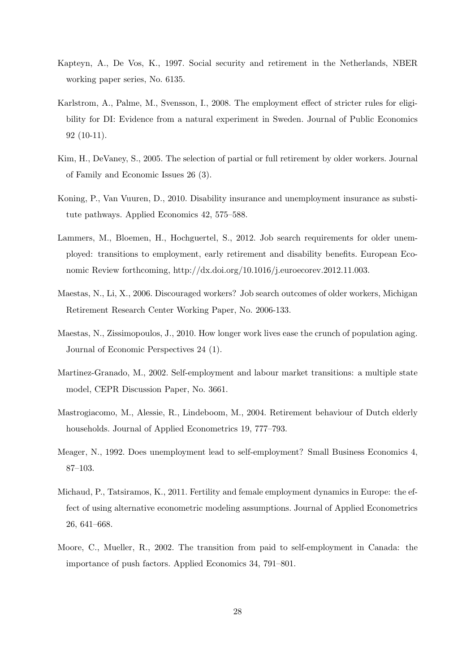- Kapteyn, A., De Vos, K., 1997. Social security and retirement in the Netherlands, NBER working paper series, No. 6135.
- Karlstrom, A., Palme, M., Svensson, I., 2008. The employment effect of stricter rules for eligibility for DI: Evidence from a natural experiment in Sweden. Journal of Public Economics 92 (10-11).
- Kim, H., DeVaney, S., 2005. The selection of partial or full retirement by older workers. Journal of Family and Economic Issues 26 (3).
- Koning, P., Van Vuuren, D., 2010. Disability insurance and unemployment insurance as substitute pathways. Applied Economics 42, 575–588.
- Lammers, M., Bloemen, H., Hochguertel, S., 2012. Job search requirements for older unemployed: transitions to employment, early retirement and disability benefits. European Economic Review forthcoming, http://dx.doi.org/10.1016/j.euroecorev.2012.11.003.
- Maestas, N., Li, X., 2006. Discouraged workers? Job search outcomes of older workers, Michigan Retirement Research Center Working Paper, No. 2006-133.
- Maestas, N., Zissimopoulos, J., 2010. How longer work lives ease the crunch of population aging. Journal of Economic Perspectives 24 (1).
- Martinez-Granado, M., 2002. Self-employment and labour market transitions: a multiple state model, CEPR Discussion Paper, No. 3661.
- Mastrogiacomo, M., Alessie, R., Lindeboom, M., 2004. Retirement behaviour of Dutch elderly households. Journal of Applied Econometrics 19, 777–793.
- Meager, N., 1992. Does unemployment lead to self-employment? Small Business Economics 4, 87–103.
- Michaud, P., Tatsiramos, K., 2011. Fertility and female employment dynamics in Europe: the effect of using alternative econometric modeling assumptions. Journal of Applied Econometrics 26, 641–668.
- Moore, C., Mueller, R., 2002. The transition from paid to self-employment in Canada: the importance of push factors. Applied Economics 34, 791–801.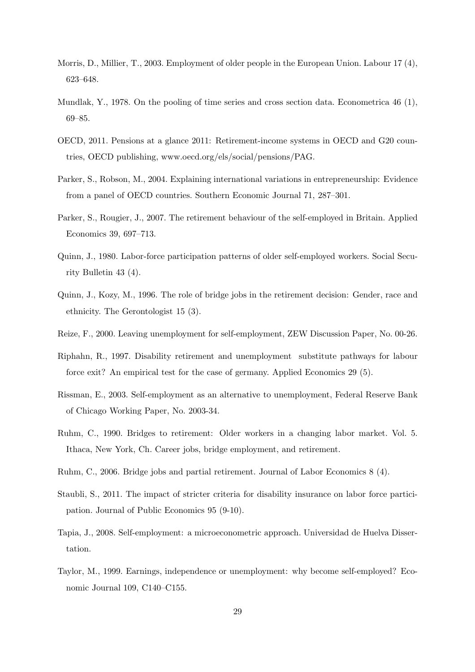- Morris, D., Millier, T., 2003. Employment of older people in the European Union. Labour 17 (4), 623–648.
- Mundlak, Y., 1978. On the pooling of time series and cross section data. Econometrica 46 (1), 69–85.
- OECD, 2011. Pensions at a glance 2011: Retirement-income systems in OECD and G20 countries, OECD publishing, www.oecd.org/els/social/pensions/PAG.
- Parker, S., Robson, M., 2004. Explaining international variations in entrepreneurship: Evidence from a panel of OECD countries. Southern Economic Journal 71, 287–301.
- Parker, S., Rougier, J., 2007. The retirement behaviour of the self-employed in Britain. Applied Economics 39, 697–713.
- Quinn, J., 1980. Labor-force participation patterns of older self-employed workers. Social Security Bulletin 43 (4).
- Quinn, J., Kozy, M., 1996. The role of bridge jobs in the retirement decision: Gender, race and ethnicity. The Gerontologist 15 (3).
- Reize, F., 2000. Leaving unemployment for self-employment, ZEW Discussion Paper, No. 00-26.
- Riphahn, R., 1997. Disability retirement and unemployment substitute pathways for labour force exit? An empirical test for the case of germany. Applied Economics 29 (5).
- Rissman, E., 2003. Self-employment as an alternative to unemployment, Federal Reserve Bank of Chicago Working Paper, No. 2003-34.
- Ruhm, C., 1990. Bridges to retirement: Older workers in a changing labor market. Vol. 5. Ithaca, New York, Ch. Career jobs, bridge employment, and retirement.
- Ruhm, C., 2006. Bridge jobs and partial retirement. Journal of Labor Economics 8 (4).
- Staubli, S., 2011. The impact of stricter criteria for disability insurance on labor force participation. Journal of Public Economics 95 (9-10).
- Tapia, J., 2008. Self-employment: a microeconometric approach. Universidad de Huelva Dissertation.
- Taylor, M., 1999. Earnings, independence or unemployment: why become self-employed? Economic Journal 109, C140–C155.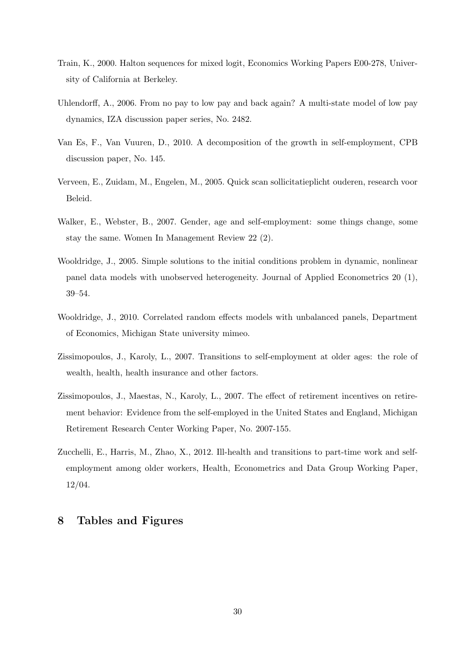- Train, K., 2000. Halton sequences for mixed logit, Economics Working Papers E00-278, University of California at Berkeley.
- Uhlendorff, A., 2006. From no pay to low pay and back again? A multi-state model of low pay dynamics, IZA discussion paper series, No. 2482.
- Van Es, F., Van Vuuren, D., 2010. A decomposition of the growth in self-employment, CPB discussion paper, No. 145.
- Verveen, E., Zuidam, M., Engelen, M., 2005. Quick scan sollicitatieplicht ouderen, research voor Beleid.
- Walker, E., Webster, B., 2007. Gender, age and self-employment: some things change, some stay the same. Women In Management Review 22 (2).
- Wooldridge, J., 2005. Simple solutions to the initial conditions problem in dynamic, nonlinear panel data models with unobserved heterogeneity. Journal of Applied Econometrics 20 (1), 39–54.
- Wooldridge, J., 2010. Correlated random effects models with unbalanced panels, Department of Economics, Michigan State university mimeo.
- Zissimopoulos, J., Karoly, L., 2007. Transitions to self-employment at older ages: the role of wealth, health, health insurance and other factors.
- Zissimopoulos, J., Maestas, N., Karoly, L., 2007. The effect of retirement incentives on retirement behavior: Evidence from the self-employed in the United States and England, Michigan Retirement Research Center Working Paper, No. 2007-155.
- Zucchelli, E., Harris, M., Zhao, X., 2012. Ill-health and transitions to part-time work and selfemployment among older workers, Health, Econometrics and Data Group Working Paper, 12/04.

# 8 Tables and Figures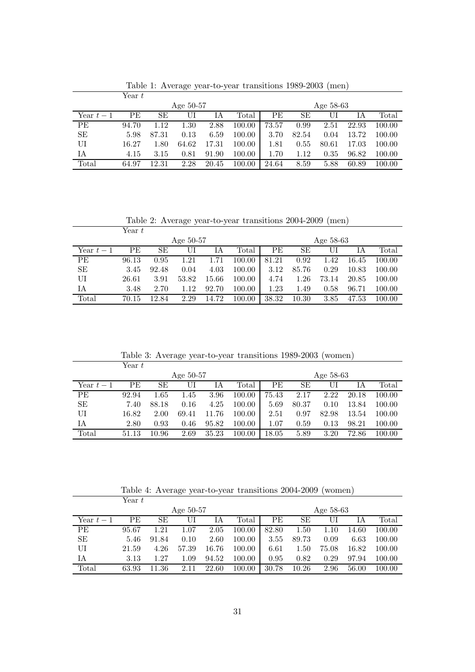|            | Year t      |       |       |       |             |           |       |       |       |        |
|------------|-------------|-------|-------|-------|-------------|-----------|-------|-------|-------|--------|
|            | Age $50-57$ |       |       |       |             | Age 58-63 |       |       |       |        |
| Year $t-1$ | <b>PE</b>   | SЕ    |       | ĪА    | $\rm Total$ | РE        | SE    | UI    | IΑ    | Total  |
| PE         | 94.70       | 1.12  | 1.30  | 2.88  | 100.00      | 73.57     | 0.99  | 2.51  | 22.93 | 100.00 |
| SЕ         | 5.98        | 87.31 | 0.13  | 6.59  | 100.00      | 3.70      | 82.54 | 0.04  | 13.72 | 100.00 |
| UI         | 16.27       | 1.80  | 64.62 | 17.31 | 100.00      | 1.81      | 0.55  | 80.61 | 17.03 | 100.00 |
| IA         | 4.15        | 3.15  | 0.81  | 91.90 | 100.00      | 1.70      | 1.12  | 0.35  | 96.82 | 100.00 |
| Total      | 64.97       | 12.31 | 2.28  | 20.45 | 100.00      | 24.64     | 8.59  | 5.88  | 60.89 | 100.00 |

Table 1: Average year-to-year transitions 1989-2003 (men)

Table 2: Average year-to-year transitions 2004-2009 (men)

|             | Year t |       |       |       |        |           |       |       |       |        |  |
|-------------|--------|-------|-------|-------|--------|-----------|-------|-------|-------|--------|--|
| Age $50-57$ |        |       |       |       |        | Age 58-63 |       |       |       |        |  |
| Year $t-1$  | PE     | SЕ    | UI    | ΙA    | Total  | <b>PE</b> | SЕ    | UI    | IА    | Total  |  |
| PE          | 96.13  | 0.95  | 1.21  | 1.71  | 100.00 | 81.21     | 0.92  | 1.42  | 16.45 | 100.00 |  |
| <b>SE</b>   | 3.45   | 92.48 | 0.04  | 4.03  | 100.00 | 3.12      | 85.76 | 0.29  | 10.83 | 100.00 |  |
| UI          | 26.61  | 3.91  | 53.82 | 15.66 | 100.00 | 4.74      | 1.26  | 73.14 | 20.85 | 100.00 |  |
| ΙA          | 3.48   | 2.70  | 1.12  | 92.70 | 100.00 | 1.23      | 1.49  | 0.58  | 96.71 | 100.00 |  |
| Total       | 70.15  | 12.84 | 2.29  | 14.72 | 100.00 | 38.32     | 10.30 | 3.85  | 47.53 | 100.00 |  |

Table 3: Average year-to-year transitions 1989-2003 (women)

|             | Year t |       |       |       |                |           |       |       |       |        |
|-------------|--------|-------|-------|-------|----------------|-----------|-------|-------|-------|--------|
| Age $50-57$ |        |       |       |       |                | Age 58-63 |       |       |       |        |
| Year $t-1$  | РE     | SЕ    | U     | IΑ    | $\text{Total}$ | <b>PE</b> | SЕ    | UI    | IА    | Total  |
| РE          | 92.94  | 1.65  | 1.45  | 3.96  | 100.00         | 75.43     | 2.17  | 2.22  | 20.18 | 100.00 |
| SЕ          | 7.40   | 88.18 | 0.16  | 4.25  | 100.00         | 5.69      | 80.37 | 0.10  | 13.84 | 100.00 |
| UI          | 16.82  | 2.00  | 69.41 | 11.76 | 100.00         | 2.51      | 0.97  | 82.98 | 13.54 | 100.00 |
| IΑ          | 2.80   | 0.93  | 0.46  | 95.82 | 100.00         | $1.07\,$  | 0.59  | 0.13  | 98.21 | 100.00 |
| Total       | 51.13  | 10.96 | 2.69  | 35.23 | $100.00\,$     | 18.05     | 5.89  | 3.20  | 72.86 | 100.00 |

Table 4: Average year-to-year transitions 2004-2009 (women)

|            | Year t      |       |       |       |             |       |           |       |       |        |  |
|------------|-------------|-------|-------|-------|-------------|-------|-----------|-------|-------|--------|--|
|            | Age $50-57$ |       |       |       |             |       | Age 58-63 |       |       |        |  |
| Year $t-1$ | PЕ          | SЕ    | UI    | ΙA    | $\rm Total$ | PЕ    | SЕ        | UI    | IΑ    | Total  |  |
| PE         | 95.67       | 1.21  | 1.07  | 2.05  | 100.00      | 82.80 | 1.50      | 1.10  | 14.60 | 100.00 |  |
| SЕ         | 5.46        | 91.84 | 0.10  | 2.60  | 100.00      | 3.55  | 89.73     | 0.09  | 6.63  | 100.00 |  |
| UI         | 21.59       | 4.26  | 57.39 | 16.76 | 100.00      | 6.61  | 1.50      | 75.08 | 16.82 | 100.00 |  |
| IA         | 3.13        | 1.27  | 1.09  | 94.52 | 100.00      | 0.95  | 0.82      | 0.29  | 97.94 | 100.00 |  |
| Total      | 63.93       | 11.36 | 2.11  | 22.60 | 100.00      | 30.78 | 10.26     | 2.96  | 56.00 | 100.00 |  |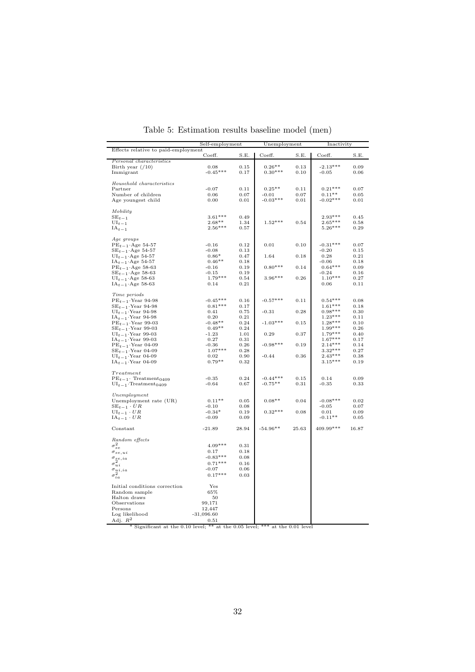|                                                 | Self-employment |       | Unemployment                                                               |       | Inactivity        |           |
|-------------------------------------------------|-----------------|-------|----------------------------------------------------------------------------|-------|-------------------|-----------|
| Effects relative to paid-employment             | Coeff.          | S.E.  | Coeff.                                                                     | S.E.  | Coeff.            | S.E.      |
| Personal characteristics                        |                 |       |                                                                            |       |                   |           |
| Birth year $(10)$                               | 0.08            | 0.15  | $0.26**$                                                                   | 0.13  | $-2.13***$        | 0.09      |
| Immigrant                                       | $-0.45***$      | 0.17  | $0.30***$                                                                  | 0.10  | $-0.05$           | 0.06      |
|                                                 |                 |       |                                                                            |       |                   |           |
| Household characteristics                       |                 |       |                                                                            |       |                   |           |
| Partner                                         | $-0.07$         | 0.11  | $0.25**$                                                                   | 0.11  | $0.21***$         | 0.07      |
| Number of children                              | 0.06            | 0.07  | $-0.01$                                                                    | 0.07  | $0.11^{\ast\ast}$ | 0.05      |
| Age youngest child                              | 0.00            | 0.01  | $-0.03***$                                                                 | 0.01  | $-0.02***$        | $_{0.01}$ |
| Mobility                                        |                 |       |                                                                            |       |                   |           |
| $SE_{t-1}$                                      | $3.61***$       | 0.49  |                                                                            |       | $2.93***$         | 0.45      |
| $\mathrm{UI}_{t\,-\,1}$                         | $2.68**$        | 1.34  | $1.52***$                                                                  | 0.54  | $2.65***$         | 0.58      |
| $IA_{t-1}$                                      | $2.56***$       | 0.57  |                                                                            |       | $5.26***$         | 0.29      |
|                                                 |                 |       |                                                                            |       |                   |           |
| Age groups                                      |                 |       |                                                                            |       |                   |           |
| $PE_{t-1}$ . Age 54-57                          | $-0.16$         | 0.12  | 0.01                                                                       | 0.10  | $-0.31***$        | 0.07      |
| $SE_{t-1}$ Age 54-57                            | $-0.08$         | 0.13  |                                                                            |       | $-0.20$           | 0.15      |
| $UI_{t-1}$ . Age 54-57                          | $0.86*$         | 0.47  | 1.64                                                                       | 0.18  | 0.28              | 0.21      |
| $IA_{t-1}$ Age 54-57                            | $0.46**$        | 0.18  |                                                                            |       | $-0.06$           | 0.18      |
| $PE_{t-1}$ Age 58-63                            | $-0.16$         | 0.19  | $0.80***$                                                                  | 0.14  | $0.64***$         | 0.09      |
| $SE_{t-1}$ Age 58-63                            | $-0.15$         | 0.19  |                                                                            |       | $-0.24$           | 0.16      |
| $UI_{t-1}$ Age 58-63                            | $1.79***$       | 0.54  | $3.96***$                                                                  | 0.26  | $1.10***$         | 0.27      |
| $\mathrm{IA}_{t-1}\!\cdot\!\mathrm{Age}$ 58-63  | 0.14            | 0.21  |                                                                            |       | 0.06              | 0.11      |
|                                                 |                 |       |                                                                            |       |                   |           |
| Time periods                                    |                 |       |                                                                            |       |                   |           |
| $PE_{t-1}$ Year 94-98                           | $-0.45***$      | 0.16  | $-0.57***$                                                                 | 0.11  | $0.54***$         | 0.08      |
| $SE_{t-1}$ . Year 94-98                         | $0.81***$       | 0.17  |                                                                            |       | $1.61***$         | 0.18      |
| $\text{UI}_{t\,-\,1}\!\cdot\!\text{Year}$ 94-98 | 0.41            | 0.75  | $-0.31$                                                                    | 0.28  | $0.98***$         | 0.30      |
| $\mathrm{IA}_{t-1}\cdot\mathrm{Year}$ 94-98     | 0.20            | 0.21  |                                                                            |       | $1.23***$         | 0.11      |
| $\text{PE}_{t-1}\!\cdot\!\text{Year}$ 99-03     | $-0.48**$       | 0.24  | $-1.03***$                                                                 | 0.15  | $1.28***$         | 0.10      |
| $\text{SE}_{t-1}\!\cdot\!\text{Year}$ 99-03     | $0.49**$        | 0.24  |                                                                            |       | $1.99***$         | 0.26      |
| $\text{UI}_{t\,-\,1}\!\cdot\!\text{Year}$ 99-03 | $-1.23$         | 1.01  | 0.29                                                                       | 0.37  | $1.79***$         | 0.40      |
| $IA_{t-1}$ Year 99-03                           | 0.27            | 0.31  |                                                                            |       | $1.67***$         | 0.17      |
| $PE_{t-1}$ . Year 04-09                         | $-0.36$         | 0.26  | $-0.98***$                                                                 | 0.19  | $2.14***$         | 0.14      |
| $SE_{t-1}$ . Year 04-09                         | $1.07***$       | 0.28  |                                                                            |       | $3.32***$         | 0.27      |
| $\text{UI}_{t\,-\,1}\!\cdot\!\text{Year}$ 04-09 | $\rm 0.02$      | 0.90  | $-0.44$                                                                    | 0.36  | $2.43***$         | 0.38      |
| $IA_{t-1}$ . Year 04-09                         | $0.79**$        | 0.32  |                                                                            |       | $3.15***$         | $_{0.19}$ |
| Treatment                                       |                 |       |                                                                            |       |                   |           |
| $PE_{t-1}$ . Treatment <sub>0409</sub>          | $-0.35$         | 0.24  | $-0.44***$                                                                 | 0.15  | 0.14              | 0.09      |
| $UI_{t-1}$ ·Treatment <sub>0409</sub>           | $-0.64$         | 0.67  | $-0.75**$                                                                  | 0.31  | $-0.35$           | 0.33      |
|                                                 |                 |       |                                                                            |       |                   |           |
| Unemployment                                    |                 |       |                                                                            |       |                   |           |
| Unemployment rate (UR)                          | $0.11**$        | 0.05  | $0.08**$                                                                   | 0.04  | $-0.08***$        | 0.02      |
| $SE_{t-1} \cdot UR$                             | $-0.10$         | 0.08  |                                                                            |       | $-0.05$           | 0.07      |
| $\text{UI}_{t-1}\cdot UR$                       | $-0.34*$        | 0.19  | $0.32***$                                                                  | 0.08  | 0.01              | 0.09      |
| $IA_{t-1} \cdot UR$                             | $-0.09$         | 0.09  |                                                                            |       | $-0.11**$         | 0.05      |
| Constant                                        | $-21.89$        | 28.94 | $-54.96**$                                                                 | 25.63 | 409.99***         | 16.87     |
|                                                 |                 |       |                                                                            |       |                   |           |
| Random effects                                  |                 |       |                                                                            |       |                   |           |
| $\sigma^2_{se}$                                 | $4.09***$       | 0.31  |                                                                            |       |                   |           |
| $\sigma_{\textit{se},ui}$                       | 0.17            | 0.18  |                                                                            |       |                   |           |
| $\sigma_{\stackrel{se}{2},ia}$                  | $-0.83***$      | 0.08  |                                                                            |       |                   |           |
| $\sigma_{ui}^{\sim}$                            | $0.71***$       | 0.16  |                                                                            |       |                   |           |
| $\frac{\sigma_{ui,ia}}{z^2}$                    | $-0.07$         | 0.06  |                                                                            |       |                   |           |
| $\sigma_{ia}^z$                                 | $0.17***$       | 0.03  |                                                                            |       |                   |           |
| Initial conditions correction                   | Yes             |       |                                                                            |       |                   |           |
| Random sample                                   | 65%             |       |                                                                            |       |                   |           |
| Halton draws                                    | 50              |       |                                                                            |       |                   |           |
| Observations                                    | 99,171          |       |                                                                            |       |                   |           |
| Persons                                         | 12,447          |       |                                                                            |       |                   |           |
| Log likelihood                                  | $-31,096.60$    |       |                                                                            |       |                   |           |
| Adj. $R^2$                                      | 0.51            |       |                                                                            |       |                   |           |
|                                                 |                 |       | Significant at the 0.10 level; ** at the 0.05 level; *** at the 0.01 level |       |                   |           |

Table 5: Estimation results baseline model (men)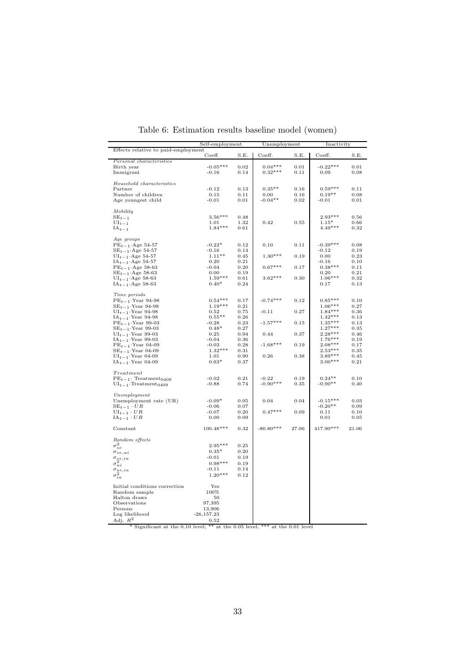|                                                  | Self-employment     | Unemployment |                                                                            | Inactivity |            |           |
|--------------------------------------------------|---------------------|--------------|----------------------------------------------------------------------------|------------|------------|-----------|
| Effects relative to paid-employment              | Coeff.              | S.E.         | Coeff.                                                                     | S.E.       | Coeff.     | S.E.      |
| Personal characteristics                         |                     |              |                                                                            |            |            |           |
| Birth year                                       | $-0.05***$          | 0.02         | $0.04***$                                                                  | 0.01       | $-0.22***$ | 0.01      |
| Immigrant                                        | $-0.16$             | 0.14         | $0.32***$                                                                  | 0.11       | 0.09       | 0.08      |
|                                                  |                     |              |                                                                            |            |            |           |
| Household characteristics                        |                     |              |                                                                            |            |            |           |
| Partner                                          | $-0.12$             | 0.13         | $0.35**$                                                                   | 0.16       | $0.59***$  | 0.11      |
| Number of children                               | 0.15                | 0.11         | 0.00                                                                       | 0.16       | $0.19**$   | 0.08      |
| Age youngest child                               | $-0.01$             | 0.01         | $-0.04**$                                                                  | 0.02       | $-0.01$    | 0.01      |
|                                                  |                     |              |                                                                            |            |            |           |
| Mobility                                         |                     |              |                                                                            |            |            |           |
| $SE_{t-1}$                                       | $3.56***$           | 0.48         |                                                                            |            | $2.93***$  | 0.56      |
| $UI_{t-1}$                                       | $1.01\,$            | 1.32         | 0.42                                                                       | 0.55       | $1.15*$    | 0.66      |
| $IA_{t-1}$                                       | $1.84***$           | 0.61         |                                                                            |            | $4.49***$  | 0.32      |
|                                                  |                     |              |                                                                            |            |            |           |
| Age groups                                       |                     |              |                                                                            |            |            |           |
| $PEt-1·Age 54-57$                                | $-0.22*$            | 0.12         | 0.10                                                                       | 0.11       | $-0.39***$ | 0.08      |
|                                                  |                     |              |                                                                            |            | $-0.12$    | 0.19      |
| $SE_{t-1}$ . Age 54-57                           | $-0.16$<br>$1.11**$ | 0.14         | $1.30***$                                                                  |            |            |           |
| $\text{UI}_{t-1} \cdot \text{Age } 54\text{-}57$ |                     | 0.45         |                                                                            | 0.19       | 0.00       | 0.23      |
| $\mathrm{IA}_{t-1} \cdot \mathrm{Age}$ 54-57     | 0.20                | 0.21         |                                                                            |            | $-0.16$    | 0.10      |
| $PE_{t-1}$ Age 58-63                             | $-0.04$             | $0.20\,$     | $0.67***$                                                                  | 0.17       | $0.38***$  | 0.11      |
| $SE_{t-1}$ Age 58-63                             | 0.00                | 0.19         |                                                                            |            | 0.20       | 0.21      |
| $UI_{t-1}$ Age 58-63                             | $1.59***$           | 0.61         | $3.62***$                                                                  | 0.30       | $1.06***$  | $_{0.32}$ |
| $IA_{t-1}$ Age 58-63                             | $0.40*$             | 0.24         |                                                                            |            | 0.17       | 0.13      |
|                                                  |                     |              |                                                                            |            |            |           |
| Time periods                                     |                     |              |                                                                            |            |            |           |
| $PE_{t-1}$ Year 94-98                            | $0.54***$           | 0.17         | $-0.74***$                                                                 | 0.12       | $0.85***$  | 0.10      |
| $SE_{t-1}$ ·Year 94-98                           | $1.19***$           | 0.21         |                                                                            |            | $1.06***$  | 0.27      |
| $UI_{t-1}$ . Year 94-98                          | 0.52                | 0.75         | $-0.11$                                                                    | 0.27       | $1.84***$  | 0.36      |
| $IA_{t-1}$ . Year 94-98                          | $0.55**$            | 0.26         |                                                                            |            | $1.42***$  | 0.13      |
| $PE_{t-1}$ . Year 99-03                          | $-0.28$             | 0.23         | $-1.57***$                                                                 | 0.15       | $1.35***$  | 0.13      |
| $SE_{t-1}$ . Year 99-03                          | $0.48*$             | 0.27         |                                                                            |            | $1.27***$  | 0.35      |
| $\mathrm{UI}_{t-1}\cdot\mathrm{Year}$ 99-03      | 0.25                | 0.94         | 0.44                                                                       | 0.37       | $2.28***$  | 0.46      |
| $\mathrm{IA}_{t-1}\cdot\mathrm{Year}$ 99-03      | $-0.04$             | 0.36         |                                                                            |            | $1.76***$  | 0.19      |
| $PE_{t-1}$ ·Year 04-09                           |                     |              | $-1.68***$                                                                 |            | $2.08***$  |           |
|                                                  | $-0.03$             | 0.28         |                                                                            | 0.19       |            | 0.17      |
| $SE_{t-1}$ ·Year 04-09                           | $1.32***$           | 0.31         |                                                                            |            | $2.53***$  | 0.35      |
| $UI_{t-1}$ . Year 04-09                          | 1.01                | 0.90         | 0.26                                                                       | 0.38       | $3.89***$  | 0.45      |
| $IA_{t-1}$ . Year 04-09                          | $0.63*$             | 0.37         |                                                                            |            | $3.00***$  | 0.21      |
|                                                  |                     |              |                                                                            |            |            |           |
| Treatment                                        |                     |              |                                                                            |            |            |           |
| $PE_{t-1}$ . Treatment <sub>0409</sub>           | $-0.02$             | 0.21         | $-0.22$                                                                    | 0.19       | $0.24**$   | 0.10      |
| $UI_{t-1}$ . Treatment <sub>0409</sub>           | $-0.88$             | 0.74         | $-0.90***$                                                                 | 0.35       | $-0.90**$  | 0.40      |
|                                                  |                     |              |                                                                            |            |            |           |
| Unemployment                                     |                     |              |                                                                            |            |            |           |
| Unemployment rate (UR)                           | $-0.09*$            | 0.05         | 0.04                                                                       | 0.04       | $-0.15***$ | 0.03      |
| $SE_{t-1} \cdot UR$                              | $-0.06$             | 0.07         |                                                                            |            | $-0.20**$  | 0.09      |
| $UI_{t-1} \cdot UR$                              | $-0.07$             | 0.20         | $0.47***$                                                                  | 0.09       | 0.11       | 0.10      |
| $IA_{t-1} \cdot UR$                              | 0.00                | 0.09         |                                                                            |            | 0.01       | 0.05      |
|                                                  |                     |              |                                                                            |            |            |           |
| Constant                                         | 100.48***           | 0.32         | $-80.80***$                                                                | 27.06      | 417.90***  | 21.06     |
|                                                  |                     |              |                                                                            |            |            |           |
| Random effects                                   |                     |              |                                                                            |            |            |           |
| $\sigma^2_{se}$                                  | 2.95***             | 0.25         |                                                                            |            |            |           |
| $\sigma_{se,ui}$                                 | $0.35*$             | 0.20         |                                                                            |            |            |           |
|                                                  | $-0.01$             | 0.19         |                                                                            |            |            |           |
| $\sigma_{\underset{2}{se},ia}$                   | $0.98***$           | 0.19         |                                                                            |            |            |           |
| $\sigma_{ui}^{\ast}$                             |                     |              |                                                                            |            |            |           |
| $\frac{\sigma_{u i, i a}}{2}$                    | $-0.11$             | 0.14         |                                                                            |            |            |           |
| $\sigma_{ia}^2$                                  | $1.20***$           | 0.12         |                                                                            |            |            |           |
|                                                  |                     |              |                                                                            |            |            |           |
| Initial conditions correction                    | Yes                 |              |                                                                            |            |            |           |
| Random sample                                    | 100%                |              |                                                                            |            |            |           |
| Halton draws                                     | 50                  |              |                                                                            |            |            |           |
| Observations                                     | 97,395              |              |                                                                            |            |            |           |
| Persons                                          | 13,906              |              |                                                                            |            |            |           |
| Log likelihood                                   | $-26,157.23$        |              |                                                                            |            |            |           |
| Adj. $R^2$                                       | 0.52                |              |                                                                            |            |            |           |
|                                                  |                     |              | Significant at the 0.10 level; ** at the 0.05 level; *** at the 0.01 level |            |            |           |

Table 6: Estimation results baseline model (women)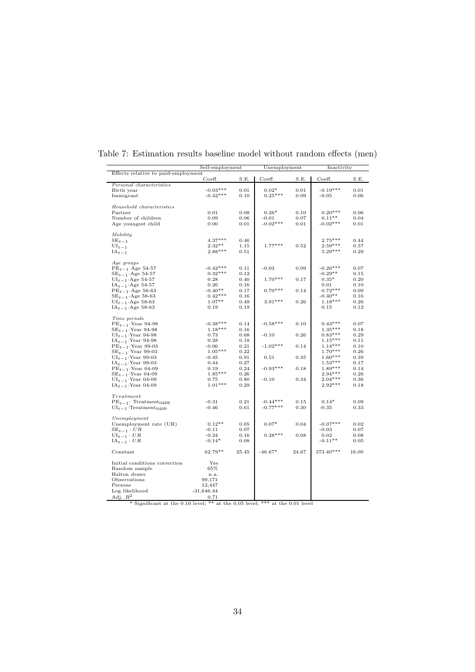|                                                                                   | Self-employment   |              | Unemployment |            | Inactivity |              |
|-----------------------------------------------------------------------------------|-------------------|--------------|--------------|------------|------------|--------------|
| Effects relative to paid-employment                                               | Coeff.            | S.E.         | Coeff.       | S.E.       | Coeff.     | S.E.         |
| Personal characteristics                                                          |                   |              |              |            |            |              |
| Birth year                                                                        | $-0.03***$        | 0.01         | $0.02*$      | 0.01       | $-0.19***$ | 0.01         |
| Immigrant                                                                         | $-0.42***$        | 0.10         | $0.25***$    | 0.09       | $-0.05$    | 0.06         |
| Household characteristics                                                         |                   |              |              |            |            |              |
| Partner                                                                           | 0.01              | 0.08         | $0.26*$      | 0.10       | $0.20***$  | 0.06         |
| Number of children                                                                | 0.09              | 0.06         | $-0.01$      | 0.07       | $0.11**$   | 0.04         |
| Age youngest child                                                                | 0.00              | 0.01         | $-0.02***$   | 0.01       | $-0.02***$ | 0.01         |
| Mobility                                                                          |                   |              |              |            |            |              |
| $SE_{t-1}$                                                                        | $4.37***$         | 0.46         |              |            | $2.75***$  | 0.44         |
|                                                                                   | $2.32**$          | 1.15         | $1.77***$    | 0.52       | $2.59***$  | 0.57         |
| $\mathbf{UI}_{t-1}$                                                               |                   |              |              |            |            |              |
| $IA_{t-1}$                                                                        | $2.88***$         | 0.51         |              |            | $5.29***$  | 0.29         |
| Age groups                                                                        |                   |              |              |            |            |              |
| $PE_{t-1}$ Age 54-57                                                              | $-0.42***$        | 0.11         | $-0.03$      | 0.09       | $-0.26***$ | 0.07         |
| $SE_{t-1}$ Age 54-57                                                              | $0.32***$         | 0.12         |              |            | $-0.29**$  | 0.15         |
| $UI_{t-1}$ Age 54-57                                                              | 0.28              | 0.40         | $1.70***$    | 0.17       | $0.35*$    | 0.20         |
| $IA_{t-1}$ Age 54-57                                                              | 0.26              | 0.16         |              |            | 0.01       | 0.10         |
| $\text{PE}_{t-1}\!\cdot\!\text{Age}$ 58-63                                        | $-0.40**$         | 0.17         | $0.70***$    | 0.14       | $0.72***$  | 0.09         |
| $SE_{t-1}$ Age 58-63                                                              | $0.42***$         | 0.16         |              |            | $-0.40**$  | 0.16         |
| $UI_{t-1}$ Age 58-63                                                              | $1.07**$          | 0.49         | $3.91***$    | $\rm 0.26$ | $1.18***$  | 0.26         |
| $IA_{t-1}$ Age 58-63                                                              | 0.19              | 0.19         |              |            | 0.15       | 0.12         |
| Time periods                                                                      |                   |              |              |            |            |              |
| $PE_{t-1}$ . Year 94-98                                                           | $-0.38***$        | 0.14         | $-0.58***$   | 0.10       | $0.43***$  | 0.07         |
| $SE_{t-1}$ . Year 94-98                                                           | $1.18***$         | 0.16         |              |            | $1.35***$  | 0.18         |
| $UI_{t-1}$ . Year 94-98                                                           | 0.73              | 0.68         | $-0.10$      | 0.26       | $0.83***$  | 0.29         |
| $IA_{t-1}$ Year 94-98                                                             | 0.28              | 0.18         |              |            | $1.15***$  | 0.11         |
| $PE_{t-1}$ . Year 99-03                                                           | $-0.06$           | 0.21         | $-1.02***$   | 0.14       | $1.14***$  | 0.10         |
| $SE_{t-1}$ Year 99-03                                                             | $1.05***$         | 0.22         |              |            | $1.70***$  | 0.26         |
| $UI_{t-1}$ . Year 99-03                                                           | $-0.45$           | 0.91         | 0.51         | 0.35       | $1.60***$  | 0.39         |
| $IA_{t-1}$ Year 99-03                                                             | 0.44              | 0.27         |              |            | $1.53***$  | 0.17         |
|                                                                                   | 0.19              | 0.24         | $-0.93***$   | 0.18       | $1.89***$  | 0.14         |
| $PE_{t-1}$ Year 04-09                                                             | $1.85***$         |              |              |            | $2.94***$  |              |
| $SE_{t-1}$ . Year 04-09                                                           |                   | 0.26         |              | 0.34       | $2.04***$  | 0.26         |
| $\text{UI}_{t\,-\,1}\!\cdot\!\text{Year}$ 04-09<br>$IA_{t-1}$ Year 04-09          | 0.75<br>$1.01***$ | 0.80<br>0.29 | $-0.10$      |            | $2.92***$  | 0.36<br>0.18 |
|                                                                                   |                   |              |              |            |            |              |
| Treatment<br>$PE_{t-1}$ . Treatment <sub>0409</sub>                               | $-0.31$           | 0.21         | $-0.44***$   | 0.15       | $0.14*$    | 0.09         |
|                                                                                   | $-0.46$           | 0.61         | $-0.77***$   | 0.30       | $-0.35$    | 0.33         |
| $UI_{t-1}$ ·Treatment <sub>0409</sub>                                             |                   |              |              |            |            |              |
| Unemployment                                                                      |                   |              |              |            |            |              |
| Unemployment rate (UR)                                                            | $0.12**$          | 0.05         | $0.07*$      | 0.04       | $-0.07***$ | 0.02         |
| $SE_{t-1} \cdot UR$                                                               | $-0.11$           | 0.07         |              |            | $-0.03$    | 0.07         |
| $UI_{t-1} \cdot UR$                                                               | $-0.24$           | 0.16         | $0.28***$    | 0.08       | 0.02       | 0.08         |
| $IA_{t-1} \cdot UR$                                                               | $-0.14*$          | 0.08         |              |            | $-0.11**$  | 0.05         |
| Constant                                                                          | 62.79**           | 25.45        | $-46.67*$    | 24.67      | 373.40***  | 16.00        |
| Initial conditions correction                                                     | Yes               |              |              |            |            |              |
| Random sample                                                                     | 65%               |              |              |            |            |              |
| Halton draws                                                                      | n.a.              |              |              |            |            |              |
| Observations                                                                      | 99,171            |              |              |            |            |              |
| Persons                                                                           | 12,447            |              |              |            |            |              |
| Log likelihood                                                                    | $-31,646.44$      |              |              |            |            |              |
| Adj. $R^2$                                                                        | 0.71              |              |              |            |            |              |
| $*$<br>Significant at the 0.10 level; ** at the 0.05 level; *** at the 0.01 level |                   |              |              |            |            |              |

Table 7: Estimation results baseline model without random effects (men)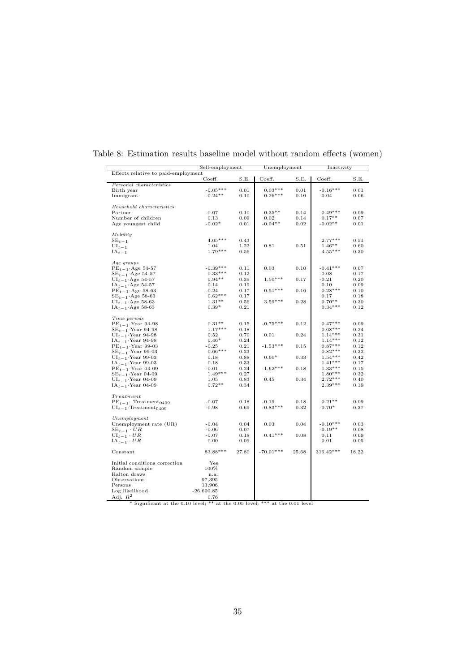|                                                                                               | Self-employment |       | Unemployment |       | Inactivity |       |
|-----------------------------------------------------------------------------------------------|-----------------|-------|--------------|-------|------------|-------|
| Effects relative to paid-employment                                                           |                 |       |              |       |            |       |
| Personal characteristics                                                                      | Coeff.          | S.E.  | Coeff.       | S.E.  | Coeff.     | S.E.  |
| Birth year                                                                                    | $-0.05***$      | 0.01  | $0.03***$    | 0.01  | $-0.16***$ | 0.01  |
| Immigrant                                                                                     | $-0.24**$       | 0.10  | $0.26***$    | 0.10  | 0.04       | 0.06  |
|                                                                                               |                 |       |              |       |            |       |
| Household characteristics                                                                     |                 |       |              |       |            |       |
| Partner                                                                                       | $-0.07$         | 0.10  | $0.35**$     | 0.14  | $0.49***$  | 0.09  |
| Number of children                                                                            | 0.13            | 0.09  | 0.02         | 0.14  | $0.17**$   | 0.07  |
| Age youngest child                                                                            | $-0.02*$        | 0.01  | $-0.04**$    | 0.02  | $-0.02**$  | 0.01  |
| Mobility                                                                                      |                 |       |              |       |            |       |
| $\text{SE}_{t-1}$                                                                             | $4.05***$       | 0.43  |              |       | $2.77***$  | 0.51  |
| $\mathrm{UI}_{t\,-\,1}$                                                                       | 1.04            | 1.22  | 0.81         | 0.51  | $1.46**$   | 0.60  |
| $IA_{t-1}$                                                                                    | $1.79***$       | 0.56  |              |       | $4.55***$  | 0.30  |
|                                                                                               |                 |       |              |       |            |       |
| Age groups                                                                                    |                 |       |              |       |            |       |
| $PE_{t-1}$ Age 54-57                                                                          | $-0.39***$      | 0.11  | 0.03         | 0.10  | $-0.41***$ | 0.07  |
| $SE_{t-1}$ . Age 54-57                                                                        | $0.33***$       | 0.12  |              |       | $-0.08$    | 0.17  |
| $UI_{t-1}$ Age 54-57                                                                          | $0.94**$        | 0.39  | $1.50***$    | 0.17  | $-0.21$    | 0.20  |
| $IA_{t-1}$ Age 54-57                                                                          | 0.14            | 0.19  |              |       | 0.10       | 0.09  |
| $PE_{t-1}$ Age 58-63                                                                          | $-0.24$         | 0.17  | $0.51***$    | 0.16  | $0.28***$  | 0.10  |
| $SE_{t-1}$ Age 58-63                                                                          | $0.62***$       | 0.17  |              |       | 0.17       | 0.18  |
| $UI_{t-1}$ Age 58-63                                                                          | $1.31**$        | 0.56  | $3.59***$    | 0.28  | $0.70**$   | 0.30  |
| $IA_{t-1}$ Age 58-63                                                                          | $0.39*$         | 0.21  |              |       | $0.34***$  | 0.12  |
| Time periods                                                                                  |                 |       |              |       |            |       |
| $PE_{t-1}$ Year 94-98                                                                         | $0.31**$        | 0.15  | $-0.75***$   | 0.12  | $0.47***$  | 0.09  |
| $SE_{t-1}$ . Year 94-98                                                                       | $1.17***$       | 0.18  |              |       | $0.68***$  | 0.24  |
| $UI_{t-1}$ . Year 94-98                                                                       | 0.52            | 0.70  | 0.01         | 0.24  | $1.14***$  | 0.31  |
| $IA_{t-1}$ Year 94-98                                                                         | $0.46*$         | 0.24  |              |       | $1.14***$  | 0.12  |
| $PE_{t-1}$ . Year 99-03                                                                       | $-0.25$         | 0.21  | $-1.53***$   | 0.15  | $0.87***$  | 0.12  |
|                                                                                               | $0.66***$       | 0.23  |              |       | $0.82***$  | 0.32  |
| $SE_{t-1}$ . Year 99-03<br>$UI_{t-1}$ . Year 99-03                                            | 0.18            | 0.88  | $0.60*$      | 0.33  | $1.54***$  | 0.42  |
|                                                                                               | 0.18            | 0.33  |              |       | $1.41***$  | 0.17  |
| $IA_{t-1}$ Year 99-03                                                                         |                 |       | $-1.62***$   |       | $1.33***$  |       |
| $PE_{t-1}$ Year 04-09                                                                         | $-0.01$         | 0.24  |              | 0.18  |            | 0.15  |
| $SE_{t-1}$ . Year 04-09                                                                       | $1.49***$       | 0.27  |              |       | $1.80***$  | 0.32  |
| $\text{UI}_{t\,-\,1}\!\cdot\!\text{Year}$ 04-09                                               | 1.05            | 0.83  | 0.45         | 0.34  | $2.72***$  | 0.40  |
| $IA_{t-1}$ Year 04-09                                                                         | $0.72**$        | 0.34  |              |       | $2.39***$  | 0.19  |
| Treatment                                                                                     |                 |       |              |       |            |       |
| $PE_{t-1}$ . Treatment <sub>0409</sub>                                                        | $-0.07$         | 0.18  | $-0.19$      | 0.18  | $0.21**$   | 0.09  |
| $UI_{t-1}$ . Treatment <sub>0409</sub>                                                        | $-0.98$         | 0.69  | $-0.83***$   | 0.32  | $-0.70*$   | 0.37  |
| Unemployment                                                                                  |                 |       |              |       |            |       |
| Unemployment rate (UR)                                                                        | $-0.04$         | 0.04  | 0.03         | 0.04  | $-0.10***$ | 0.03  |
| $SE_{t-1} \cdot UR$                                                                           | $-0.06$         | 0.07  |              |       | $-0.19**$  | 0.08  |
| $UI_{t-1} \cdot UR$                                                                           | $-0.07$         | 0.18  | $0.41***$    | 0.08  | 0.11       | 0.09  |
| $\text{IA}_{t-1} \cdot UR$                                                                    | 0.00            | 0.09  |              |       | 0.01       | 0.05  |
| Constant                                                                                      | 83.88***        | 27.80 | $-70.01***$  | 25.68 | 316.42***  | 18.22 |
| Initial conditions correction                                                                 | Yes             |       |              |       |            |       |
| Random sample                                                                                 | 100%            |       |              |       |            |       |
|                                                                                               |                 |       |              |       |            |       |
| Halton draws                                                                                  | n.a.            |       |              |       |            |       |
| Observations                                                                                  | 97,395          |       |              |       |            |       |
| Persons                                                                                       | 13,906          |       |              |       |            |       |
| Log likelihood                                                                                | $-26,600.85$    |       |              |       |            |       |
| Adj. $R^2$<br>¥<br>Significant at the 0.10 level; ** at the 0.05 level; *** at the 0.01 level | 0.76            |       |              |       |            |       |

Table 8: Estimation results baseline model without random effects (women)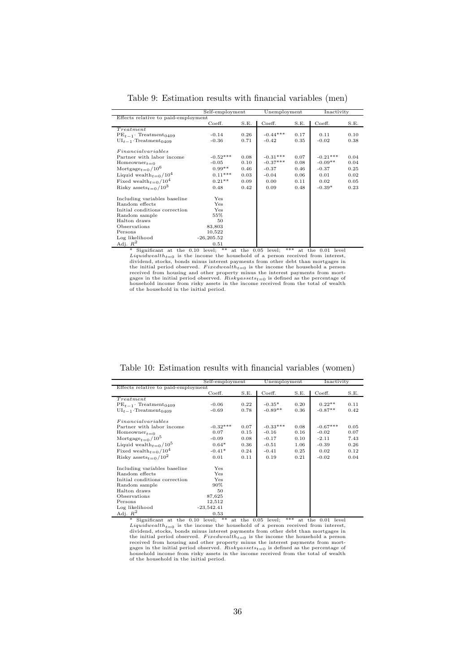|                                              | Self-employment |      | Unemployment |      | Inactivity |      |
|----------------------------------------------|-----------------|------|--------------|------|------------|------|
| Effects relative to paid-employment          |                 |      |              |      |            |      |
|                                              | Coeff.          | S.E. | Coeff.       | S.E. | Coeff.     | S.E. |
| Treatment                                    |                 |      |              |      |            |      |
| $PE_{t-1}$ . Treatment <sub>0409</sub>       | $-0.14$         | 0.26 | $-0.44***$   | 0.17 | 0.11       | 0.10 |
| $UI_{t-1}$ . Treatment <sub>0409</sub>       | $-0.36$         | 0.71 | $-0.42$      | 0.35 | $-0.02$    | 0.38 |
| Financial variables                          |                 |      |              |      |            |      |
| Partner with labor income                    | $-0.52***$      | 0.08 | $-0.31***$   | 0.07 | $-0.21***$ | 0.04 |
| Homeowner <sub>t=0</sub>                     | $-0.05$         | 0.10 | $-0.37***$   | 0.08 | $-0.09**$  | 0.04 |
| Mortgage $_{t=0}/10^6$                       | $0.99**$        | 0.46 | $-0.37$      | 0.46 | $-0.37$    | 0.25 |
| Liquid wealth $_{t=0}/10^4$                  | $0.11***$       | 0.03 | $-0.04$      | 0.06 | 0.01       | 0.02 |
| Fixed wealth <sub>t=0</sub> /10 <sup>4</sup> | $0.21**$        | 0.09 | 0.00         | 0.11 | 0.02       | 0.05 |
| Risky assets <sub>t=0</sub> /10 <sup>3</sup> | 0.48            | 0.42 | 0.09         | 0.48 | $-0.39*$   | 0.23 |
| Including variables baseline                 | Yes             |      |              |      |            |      |
| Random effects                               | Yes             |      |              |      |            |      |
| Initial conditions correction                | Yes             |      |              |      |            |      |
| Random sample                                | 55%             |      |              |      |            |      |
| Halton draws                                 | 50              |      |              |      |            |      |
| Observations                                 | 83,803          |      |              |      |            |      |
| Persons                                      | 10,522          |      |              |      |            |      |
| Log likelihood                               | $-26, 205.52$   |      |              |      |            |      |
| $Adi R^2$                                    | 0.51            |      |              |      |            |      |

Table 9: Estimation results with financial variables (men)

 $\begin{tabular}{l|c|c|c|c} \hline \text{Adj.} $\mathbb{R}^2$ & 0.51 & 0.51$ & \text{Adj.} $\mathbb{R}^2$ & 0.51$ & \text{Adj.} $\mathbb{R}^2$ & 0.51$ & \text{Aydid} $\mathbb{R}^2$ & 0.51$ & \text{Aydid} $\mathbb{R}^2$ & 0.51$ & \text{Aydid} $\mathbb{R}^2$ & 0.51$ & \text{Aydid} $\mathbb{R}^2$ & 0.51$ & \text{Aydid} $\mathbb{R}^2$ & 0.51$ & \text{$ 

Table 10: Estimation results with financial variables (women)

|                                                            |                 |      |              |      | Inactivity |      |  |
|------------------------------------------------------------|-----------------|------|--------------|------|------------|------|--|
|                                                            | Self-employment |      | Unemployment |      |            |      |  |
| Effects relative to paid-employment                        |                 |      |              |      |            |      |  |
|                                                            | Coeff.          | S.E. | Coeff.       | S.E. | Coeff.     | S.E. |  |
| Treatment                                                  |                 |      |              |      |            |      |  |
| $PE_{t-1}$ . Treatment <sub>0409</sub>                     | $-0.06$         | 0.22 | $-0.35*$     | 0.20 | $0.22**$   | 0.11 |  |
| $UI_{t-1}$ . Treatment <sub>0409</sub>                     | $-0.69$         | 0.78 | $-0.89**$    | 0.36 | $-0.87**$  | 0.42 |  |
| Financial variables                                        |                 |      |              |      |            |      |  |
| Partner with labor income                                  | $-0.32***$      | 0.07 | $-0.33***$   | 0.08 | $-0.67***$ | 0.05 |  |
| Homeowner $_{t=0}$                                         | 0.07            | 0.15 | $-0.16$      | 0.16 | $-0.02$    | 0.07 |  |
| Mortgage <sub>t=0</sub> /10 <sup>5</sup>                   | $-0.09$         | 0.08 | $-0.17$      | 0.10 | $-2.11$    | 7.43 |  |
| Liquid wealth <sub><math>t=0</math></sub> /10 <sup>5</sup> | $0.64*$         | 0.36 | $-0.51$      | 1.06 | $-0.39$    | 0.26 |  |
| Fixed wealth <sub><math>t=0</math></sub> /10 <sup>4</sup>  | $-0.41*$        | 0.24 | $-0.41$      | 0.25 | 0.02       | 0.12 |  |
| Risky assets <sub>t=0</sub> /10 <sup>2</sup>               | 0.01            | 0.11 | 0.19         | 0.21 | $-0.02$    | 0.04 |  |
| Including variables baseline                               | Yes             |      |              |      |            |      |  |
| Random effects                                             | Yes             |      |              |      |            |      |  |
| Initial conditions correction                              | Yes             |      |              |      |            |      |  |
| Random sample                                              | 90%             |      |              |      |            |      |  |
| Halton draws                                               | 50              |      |              |      |            |      |  |
| Observations                                               | 87,625          |      |              |      |            |      |  |
| Persons                                                    | 12,512          |      |              |      |            |      |  |
| Log likelihood                                             | $-23,542.41$    |      |              |      |            |      |  |
| Adj. $R^2$                                                 | 0.53            |      |              |      |            |      |  |

Significant at the 0.10 level; \*\* at the 0.05 level; \*\*\* at the 0.01 level *Liquidwealth*<sub>t=0</sub> is the income the household of a person received from interest, dividend, stocks, bonds minus interest payments from other debt than mortgages in the initial period observed. *Fixedwealth*<sub>t=0</sub> is the income the household a person received from housing and other property minus the interest payments from mortgages in the initial period observed. *Riskyassets*<sub>t=0</sub> i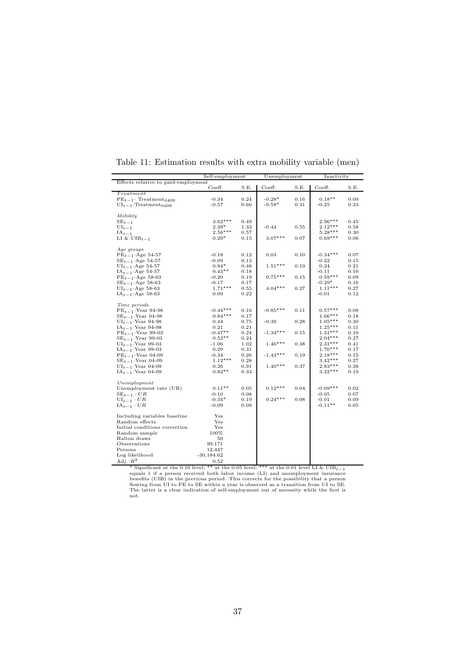|                                        | Self-employment |      | Unemployment |      | Inactivity |      |  |
|----------------------------------------|-----------------|------|--------------|------|------------|------|--|
| Effects relative to paid-employment    |                 |      |              |      |            |      |  |
|                                        | Coeff.          | S.E. | Coeff.       | S.E. | Coeff.     | S.E. |  |
| Treatment                              |                 |      |              |      |            |      |  |
| $PE_{t-1}$ . Treatment <sub>0409</sub> | $-0.34$         | 0.24 | $-0.28*$     | 0.16 | $0.18**$   | 0.09 |  |
| $UI_{t-1}$ . Treatment <sub>0409</sub> | $-0.57$         | 0.66 | $-0.58*$     | 0.31 | $-0.25$    | 0.33 |  |
|                                        |                 |      |              |      |            |      |  |
| Mobility                               |                 |      |              |      |            |      |  |
| $SE_{t-1}$                             | $3.62***$       | 0.49 |              |      | $2.96***$  | 0.45 |  |
| $UI_{t-1}$                             | $2.39*$         | 1.33 | $-0.44$      | 0.55 | $2.12***$  | 0.58 |  |
| $IA_{t-1}$                             | $2.56***$       | 0.57 |              |      | $5.28***$  | 0.30 |  |
| LI & $UIB_{t-1}$                       | $0.29*$         | 0.15 | $3.07***$    | 0.07 | $0.69***$  | 0.06 |  |
|                                        |                 |      |              |      |            |      |  |
| Age groups                             |                 |      |              |      |            |      |  |
| $PE_{t-1}$ Age 54-57                   | $-0.18$         | 0.12 | 0.03         | 0.10 | $-0.34***$ | 0.07 |  |
| $SE_{t-1}$ Age 54-57                   | $-0.09$         | 0.13 |              |      | $-0.22$    | 0.15 |  |
| $UI_{t-1}$ Age 54-57                   | $0.84*$         | 0.48 | $1.51***$    | 0.19 | 0.24       | 0.21 |  |
| $IA_{t-1}$ Age 54-57                   | $0.43**$        | 0.18 |              |      | $-0.11$    | 0.10 |  |
| $PE_{t-1}$ Age 58-63                   | $-0.20$         | 0.19 | $0.75***$    | 0.15 | $0.59***$  | 0.09 |  |
|                                        | $-0.17$         | 0.17 |              |      | $-0.29*$   | 0.16 |  |
| $SE_{t-1}$ Age 58-63                   | $1.71***$       | 0.55 | $4.04***$    | 0.27 | $1.11***$  | 0.27 |  |
| $UI_{t-1}$ Age 58-63                   |                 | 0.22 |              |      | $-0.01$    | 0.12 |  |
| $IA_{t-1}$ Age 58-63                   | 0.09            |      |              |      |            |      |  |
| Time periods                           |                 |      |              |      |            |      |  |
| $PE_{t-1}$ . Year 94-98                | $-0.44***$      | 0.16 | $-0.85***$   | 0.11 | $0.57***$  | 0.08 |  |
| $SE_{t-1}$ ·Year 94-98                 | $0.84***$       | 0.17 |              |      | $1.66***$  | 0.18 |  |
| $UI_{t-1}$ . Year 94-98                | 0.44            | 0.75 | $-0.39$      | 0.28 | $1.05***$  | 0.30 |  |
|                                        | 0.21            | 0.21 |              |      | $1.25***$  | 0.11 |  |
| $IA_{t-1}$ Year 94-98                  | $-0.47**$       | 0.24 | $-1.34***$   | 0.15 | $1.31***$  | 0.10 |  |
| $PE_{t-1}$ Year 99-03                  | $0.52**$        |      |              |      | $2.04***$  | 0.27 |  |
| $SE_{t-1}$ Year 99-03                  |                 | 0.24 |              |      |            |      |  |
| $UI_{t-1}$ . Year 99-03                | $-1.06$         | 1.02 | $1.46***$    | 0.38 | $2.31***$  | 0.41 |  |
| $IA_{t-1}$ . Year 99-03                | 0.29            | 0.31 |              |      | $1.70***$  | 0.17 |  |
| $PE_{t-1}$ . Year 04-09                | $-0.34$         | 0.26 | $-1.43***$   | 0.19 | $2.18***$  | 0.15 |  |
| $SE_{t-1}$ Year 04-09                  | $1.12***$       | 0.28 |              |      | $3.42***$  | 0.27 |  |
| $UI_{t-1}$ Year 04-09                  | 0.26            | 0.91 | $1.40***$    | 0.37 | $2.83***$  | 0.38 |  |
| $IA_{t-1}$ Year 04-09                  | $0.82**$        | 0.33 |              |      | $3.22***$  | 0.19 |  |
|                                        |                 |      |              |      |            |      |  |
| Unemployment                           |                 |      |              |      |            |      |  |
| Unemployment rate (UR)                 | $0.11**$        | 0.05 | $0.12***$    | 0.04 | $-0.09***$ | 0.02 |  |
| $SE_{t-1} \cdot UR$                    | $-0.10$         | 0.08 |              |      | $-0.05$    | 0.07 |  |
| $UI_{t-1} \cdot UR$                    | $-0.34*$        | 0.19 | $0.24***$    | 0.08 | $-0.01$    | 0.09 |  |
| $IA_{t-1} \cdot UR$                    | $-0.09$         | 0.09 |              |      | $-0.11**$  | 0.05 |  |
|                                        |                 |      |              |      |            |      |  |
| Including variables baseline           | Yes             |      |              |      |            |      |  |
| Random effects                         | Yes             |      |              |      |            |      |  |
| Initial conditions correction          | $_{\rm Yes}$    |      |              |      |            |      |  |
| Random sample                          | 100%            |      |              |      |            |      |  |
| Halton draws                           | 50              |      |              |      |            |      |  |
| Observations                           | 99,171          |      |              |      |            |      |  |
| Persons                                | 12,447          |      |              |      |            |      |  |
| Log likelihood                         | $-30,184.62$    |      |              |      |            |      |  |
| Adj. $R^2$                             | 0.52            |      |              |      |            |      |  |

| Table 11: Estimation results with extra mobility variable (men) |  |  |
|-----------------------------------------------------------------|--|--|
|-----------------------------------------------------------------|--|--|

\* Significant at the 0.10 level; \*\* at the 0.05 level; \*\*\* at the 0.01 level LI & UIB<sub>t-1</sub> equals 1 if a person received both labor income (LI) and unemployment insurance equals 1 feares benefits (UIB) in the previous per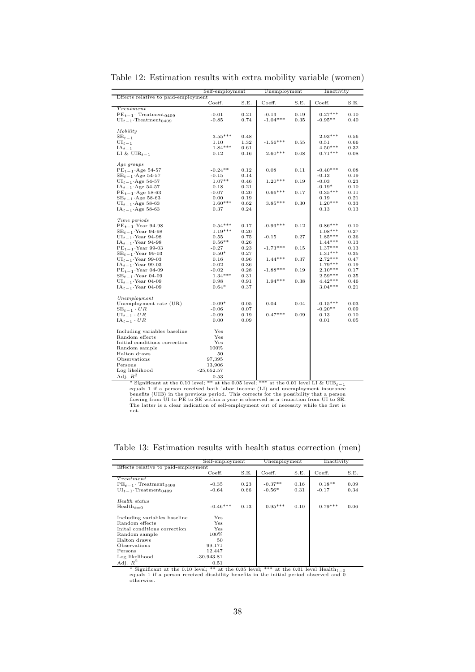|                                                 |              | Self-employment |            | Unemployment |            | Inactivity |  |
|-------------------------------------------------|--------------|-----------------|------------|--------------|------------|------------|--|
| Effects relative to paid-employment             |              |                 |            |              |            |            |  |
|                                                 | Coeff.       | S.E.            | Coeff.     | S.E.         | Coeff.     | S.E.       |  |
| Treatment                                       |              |                 |            |              |            |            |  |
| $PE_{t-1}$ . Treatment <sub>0409</sub>          | $-0.01$      | 0.21            | $-0.13$    | 0.19         | $0.27***$  | 0.10       |  |
| $UI_{t-1}$ ·Treatment <sub>0409</sub>           | $-0.85$      | 0.74            | $-1.04***$ | $_{0.35}$    | $-0.95**$  | 0.40       |  |
|                                                 |              |                 |            |              |            |            |  |
| Mobility                                        | $3.55***$    | 0.48            |            |              | $2.93***$  | 0.56       |  |
| $SE_{t-1}$<br>$UI_{t-1}$                        | 1.10         | 1.32            | $-1.56***$ | $_{0.55}$    | $_{0.51}$  | 0.66       |  |
| $IA_{t-1}$                                      | $1.84***$    | 0.61            |            |              | $4.50***$  | 0.32       |  |
| LI & UIB <sub>t-1</sub>                         | 0.12         | 0.16            | $2.60***$  | 0.08         | $0.71***$  | 0.08       |  |
|                                                 |              |                 |            |              |            |            |  |
| Age groups                                      |              |                 |            |              |            |            |  |
| $PE_{t-1}$ Age 54-57                            | $-0.24**$    | 0.12            | 0.08       | $_{0.11}$    | $-0.40***$ | 0.08       |  |
| $SE_{t-1}$ Age 54-57                            | $-0.15$      | 0.14            |            |              | $-0.13$    | 0.19       |  |
| $UI_{t-1}$ Age 54-57                            | $1.07**$     | 0.46            | $1.20***$  | 0.19         | $-0.03$    | 0.23       |  |
| $IA_{t-1}$ Age 54-57                            | 0.18         | 0.21            |            |              | $-0.19*$   | 0.10       |  |
| $PE_{t-1}$ Age 58-63                            | $-0.07$      | 0.20            | $0.66***$  | 0.17         | $0.35***$  | 0.11       |  |
| $SE_{t-1}$ Age 58-63                            | 0.00         | 0.19            |            |              | 0.19       | 0.21       |  |
| $UI_{t-1}$ Age 58-63                            | $1.60***$    | 0.62            | $3.85***$  | $_{0.30}$    | $1.20***$  | 0.33       |  |
| $IA_{t-1}$ Age 58-63                            | 0.37         | 0.24            |            |              | 0.13       | 0.13       |  |
|                                                 |              |                 |            |              |            |            |  |
| Time periods                                    |              |                 |            |              |            |            |  |
| $PE_{t-1}$ Year 94-98                           | $0.54***$    | 0.17            | $-0.93***$ | 0.12         | $0.86***$  | 0.10       |  |
| $SE_{t-1}$ . Year 94-98                         | $1.19***$    | 0.20            |            |              | $1.08***$  | 0.27       |  |
| $UI_{t-1}$ . Year 94-98                         | 0.55         | 0.75            | $-0.15$    | 0.27         | $1.85***$  | 0.36       |  |
| $IA_{t-1}$ Year 94-98                           | $0.56**$     | 0.26            |            |              | $1.44***$  | 0.13       |  |
| $PE_{t-1}$ . Year 99-03                         | $-0.27$      | 0.23            | $-1.73***$ | $_{0.15}$    | $1.37***$  | 0.13       |  |
| $SE_{t-1}$ . Year 99-03                         | $0.50*$      | 0.27            |            |              | $1.31***$  | 0.35       |  |
| $UI_{t-1}$ . Year 99-03                         | 0.16         | 0.96            | $1.44***$  | 0.37         | $2.72***$  | 0.47       |  |
| $IA_{t-1}$ Year 99-03                           | $-0.02$      | 0.36            |            |              | $1.79***$  | 0.19       |  |
| $PE_{t-1}$ . Year 04-09                         | $-0.02$      | 0.28            | $-1.88***$ | 0.19         | $2.10***$  | 0.17       |  |
| $SE_{t-1}$ ·Year 04-09                          | $1.34***$    | 0.31            |            |              | $2.59***$  | 0.35       |  |
| $UI_{t-1}$ . Year 04-09                         | 0.98         | 0.91            | $1.94***$  | 0.38         | $4.42***$  | 0.46       |  |
| $IA_{t-1}$ Year 04-09                           | $0.64*$      | 0.37            |            |              | $3.04***$  | 0.21       |  |
|                                                 |              |                 |            |              |            |            |  |
| Unemployment                                    |              |                 |            |              |            |            |  |
| Unemployment rate (UR)                          | $-0.09*$     | 0.05            | 0.04       | 0.04         | $-0.15***$ | 0.03       |  |
| $SE_{t-1} \cdot UR$                             | $-0.06$      | 0.07            |            |              | $-0.20**$  | 0.09       |  |
| $UI_{t-1} \cdot UR$                             | $-0.09$      | 0.19            | $0.47***$  | 0.09         | 0.13       | 0.10       |  |
| $IA_{t-1} \cdot UR$                             | 0.00         | 0.09            |            |              | 0.01       | 0.05       |  |
|                                                 |              |                 |            |              |            |            |  |
| Including variables baseline                    | Yes          |                 |            |              |            |            |  |
| Random effects<br>Initial conditions correction | Yes<br>Yes   |                 |            |              |            |            |  |
|                                                 | 100%         |                 |            |              |            |            |  |
| Random sample<br>Halton draws                   | 50           |                 |            |              |            |            |  |
| Observations                                    | 97,395       |                 |            |              |            |            |  |
| Persons                                         | 13,906       |                 |            |              |            |            |  |
| Log likelihood                                  | $-25,652.57$ |                 |            |              |            |            |  |
| Adj. $R^2$                                      |              |                 |            |              |            |            |  |
|                                                 | 0.53         |                 |            |              |            |            |  |

Table 12: Estimation results with extra mobility variable (women)

\* Significant at the 0.10 level; \*\* at the 0.05 level; \*\*\* at the 0.01 level LI & UIB<sub>t-1</sub> equals 1 if a person received both labor income (LI) and unemployment insurance benefits (UIB) in the previous period. This correc not.

Table 13: Estimation results with health status correction (men)

|                                        | Self-employment |      | Unemployment |      | Inactivity |      |
|----------------------------------------|-----------------|------|--------------|------|------------|------|
| Effects relative to paid-employment    |                 |      |              |      |            |      |
|                                        | Coeff.          | S.E. | Coeff.       | S.E. | Coeff.     | S.E. |
| Treatment                              |                 |      |              |      |            |      |
| $PE_{t-1}$ . Treatment <sub>0409</sub> | $-0.35$         | 0.23 | $-0.37**$    | 0.16 | $0.18**$   | 0.09 |
| $UI_{t-1}$ . Treatment <sub>0409</sub> | $-0.64$         | 0.66 | $-0.56*$     | 0.31 | $-0.17$    | 0.34 |
| Health status                          |                 |      |              |      |            |      |
| $Health_{t=0}$                         | $-0.46***$      | 0.13 | $0.95***$    | 0.10 | $0.79***$  | 0.06 |
| Including variables baseline           | Yes             |      |              |      |            |      |
| Random effects                         | $_{\rm Yes}$    |      |              |      |            |      |
| Inital conditions correction           | Yes             |      |              |      |            |      |
| Random sample                          | $100\%$         |      |              |      |            |      |
| Halton draws                           | 50              |      |              |      |            |      |
| Observations                           | 99,171          |      |              |      |            |      |
| Persons                                | 12,447          |      |              |      |            |      |
| Log likelihood                         | $-30,943.81$    |      |              |      |            |      |
| Adj. $R^2$                             | 0.51            |      |              |      |            |      |

\* Significant at the 0.10 level; \*\* at the 0.05 level; \*\*\* at the 0.01 level Health<sub>t=0</sub> equals 1 if a person received disability benefits in the initial period observed and 0 otherwise.